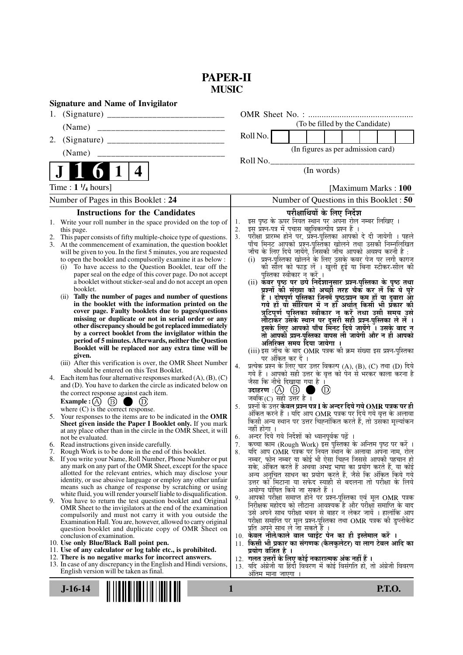# **PAPER-II MUSIC**

| <b>Signature and Name of Invigilator</b>                                                                                    |                                                                                                                                   |
|-----------------------------------------------------------------------------------------------------------------------------|-----------------------------------------------------------------------------------------------------------------------------------|
|                                                                                                                             |                                                                                                                                   |
| (Name)                                                                                                                      | (To be filled by the Candidate)                                                                                                   |
| 2.                                                                                                                          | Roll No.                                                                                                                          |
| _______________________________<br>(Name)                                                                                   | (In figures as per admission card)                                                                                                |
|                                                                                                                             | Roll No.                                                                                                                          |
| 4                                                                                                                           | (In words)                                                                                                                        |
| Time : $1 \frac{1}{4}$ hours]                                                                                               | [Maximum Marks: 100]                                                                                                              |
| Number of Pages in this Booklet : 24                                                                                        | Number of Questions in this Booklet : 50                                                                                          |
| <b>Instructions for the Candidates</b>                                                                                      | परीक्षार्थियों के लिए निर्देश                                                                                                     |
| Write your roll number in the space provided on the top of<br>1.                                                            | इस पृष्ठ के ऊपर नियत स्थान पर अपना रोल नम्बर लिखिए ।<br>1.<br>इस प्रश्न-पत्र में पचास बहुविकल्पीय प्रश्न हैं ।                    |
| this page.<br>This paper consists of fifty multiple-choice type of questions.                                               | 2.<br>3.                                                                                                                          |
| 3.<br>At the commencement of examination, the question booklet                                                              | परीक्षा प्रारम्भ होने पर, प्रॅश्न-पुस्तिका आपको दे दी जायेगी । पहले<br>पाँच मिनट आपको प्रश्न-पुस्तिका खोलने तथा उसकी निम्नलिखित   |
| will be given to you. In the first 5 minutes, you are requested                                                             | जाँच के लिए दिये जायेंगे, जिसकी जाँच आपको अवश्य करनी है :                                                                         |
| to open the booklet and compulsorily examine it as below :                                                                  | (i) प्रश्न-पुरितका खोलने के लिए उसके कवर पेज पर लगी कागज                                                                          |
| To have access to the Question Booklet, tear off the<br>(i)<br>paper seal on the edge of this cover page. Do not accept     | को सौल को फाड़ लें । खुली हुई या बिना स्टीकर-सील की<br>पुस्तिका स्वीकार न करें ।                                                  |
| a booklet without sticker-seal and do not accept an open                                                                    | (ii) कवर पृष्ठ पर छपे निर्देशानुसार प्रश्न-पुस्तिका के पृष्ठ तथा                                                                  |
| booklet.                                                                                                                    | प्रश्नों की संख्या को अच्छों तरह चैक कर लें कि ये पूरे                                                                            |
| Tally the number of pages and number of questions<br>(ii)                                                                   | हैं । दोषपूर्ण पुस्तिका जिनमें पृष्ठ/प्रश्न कम हों या दुबारा आ<br>गये हो या सीरियल में न हो अर्थात् किसी भी प्रकार की             |
| in the booklet with the information printed on the<br>cover page. Faulty booklets due to pages/questions                    | त्रुटिपूर्ण पुस्तिका स्वीकार न करें तथा उसी समय उसे                                                                               |
| missing or duplicate or not in serial order or any                                                                          | लौटाकेर उसके स्थान पर दूसरी सही प्रश्न-पुस्तिका ले लें।                                                                           |
| other discrepancy should be got replaced immediately                                                                        | इसके लिए आपको पाँच मिंनट दिये जायेंगे ँ। उसके बाद न                                                                               |
| by a correct booklet from the invigilator within the<br>period of 5 minutes. Afterwards, neither the Question               | तो आपकी प्रश्न-पुस्तिका वापस ली जायेगी और न ही आपको                                                                               |
| Booklet will be replaced nor any extra time will be                                                                         | अतिरिक्त समय दिया जायेगा ।                                                                                                        |
| given.                                                                                                                      | (iii) इस जाँच के बाद OMR पत्रक की क्रम संख्या इस प्रश्न-पुस्तिका<br>पर अंकित कर दें ।                                             |
| (iii) After this verification is over, the OMR Sheet Number                                                                 | प्रत्येक प्रश्न के लिए चार उत्तर विकल्प (A), (B), (C) तथा (D) दिये<br>4.                                                          |
| should be entered on this Test Booklet.<br>4. Each item has four alternative responses marked $(A)$ , $(B)$ , $(C)$         | गये हैं । आपको सही उत्तर के वृत्त को पेन से भरकर काला करना है                                                                     |
| and (D). You have to darken the circle as indicated below on                                                                | जैसा कि नीचे दिखाया गया है ।                                                                                                      |
| the correct response against each item.                                                                                     | $\circled{D}$<br>ma k                                                                                                             |
| Example : $(A)$ $(B)$ (<br>a an                                                                                             | जबकि (C) सही उत्तर है $\overline{1}$<br>प्रश्नों के उत्तर <b>केवल प्रश्न पत्र I के अन्दर दिये गये OMR पत्रक पर ही</b>             |
| where $(C)$ is the correct response.                                                                                        | 5.<br>अंकित करने हैं । यदि आप OMR पत्रक पर दिये गये वृत्त के अलावा                                                                |
| 5. Your responses to the items are to be indicated in the OMR<br>Sheet given inside the Paper I Booklet only. If you mark   | किसी अन्य स्थान पर उत्तर चिह्नांकित करते हैं, तो उसका मूल्यांकन                                                                   |
| at any place other than in the circle in the OMR Sheet, it will                                                             | नहीं होगा ।                                                                                                                       |
| not be evaluated.                                                                                                           | अन्दर दिये गये निर्देशों को ध्यानपूर्वक पढ़ें ।<br>6.                                                                             |
| 6. Read instructions given inside carefully.<br>7. Rough Work is to be done in the end of this booklet.                     | कच्चा काम (Rough Work) इस पुस्तिका के अन्तिम पृष्ठ पर करें ।<br>7.<br>यदि आप OMR पत्रक पर नियत स्थान के अलावा अपना नाम, रोल<br>8. |
| 8. If you write your Name, Roll Number, Phone Number or put                                                                 | नम्बर, फोन नम्बर या कोई भी ऐसा चिह्न जिससे आपकी पहचान हो                                                                          |
| any mark on any part of the OMR Sheet, except for the space                                                                 | सके, अंकित करते हैं अथवा अभद्र भाषा का प्रयोग करते हैं, या कोई                                                                    |
| allotted for the relevant entries, which may disclose your<br>identity, or use abusive language or employ any other unfair  | अन्य अनुचित साधन का प्रयोग करते हैं, जैसे कि अंकित किये गये                                                                       |
| means such as change of response by scratching or using                                                                     | उत्तर को मिटाना या सफेद स्याही से बदलना तो परीक्षा के लिये<br>अयोग्य घोषित किये जा सकते हैं ।                                     |
| white fluid, you will render yourself liable to disqualification.                                                           | आपको परीक्षा समाप्त होने पर प्रश्न-पुस्तिका एवं मूल OMR पत्रक<br>9.                                                               |
| 9. You have to return the test question booklet and Original<br>OMR Sheet to the invigilators at the end of the examination | निरीक्षक महोदय को लौटाना आवश्यक है और परीक्षा समाप्ति के बाद                                                                      |
| compulsorily and must not carry it with you outside the                                                                     | उसे अपने साथ परीक्षा भवन से बाहर न लेकर जायें । हालांकि आप                                                                        |
| Examination Hall. You are, however, allowed to carry original                                                               | परीक्षा समाप्ति पर मूल प्रश्न-पुस्तिका तथा OMR पत्रक की डुप्लीकेट                                                                 |
| question booklet and duplicate copy of OMR Sheet on<br>conclusion of examination.                                           | प्रति अपने साथ ले जा सकते हैं ।<br>10. केवल नीले/काले बाल प्वाईंट पेन का ही इस्तेमाल करें ।                                       |
| 10. Use only Blue/Black Ball point pen.                                                                                     | 11. किसी भी प्रकार का संगणक (कैलकुलेटर) या लाग टेबल आदि का                                                                        |
| 11. Use of any calculator or log table etc., is prohibited.                                                                 | प्रयोग वर्जित है ।                                                                                                                |
| 12. There is no negative marks for incorrect answers.                                                                       | 12.  गलत उत्तरों के लिए कोई नकारात्मक अंक नहीं हैं ।                                                                              |
| 13. In case of any discrepancy in the English and Hindi versions,<br>English version will be taken as final.                | यदि अंग्रेजी या हिंदी विवरण में कोई विसंगति हो, तो अंग्रेजी विवरण<br>13.<br>अंतिम माना जाएगा ।                                    |
|                                                                                                                             |                                                                                                                                   |
| $J-16-14$                                                                                                                   | <b>P.T.O.</b><br>1                                                                                                                |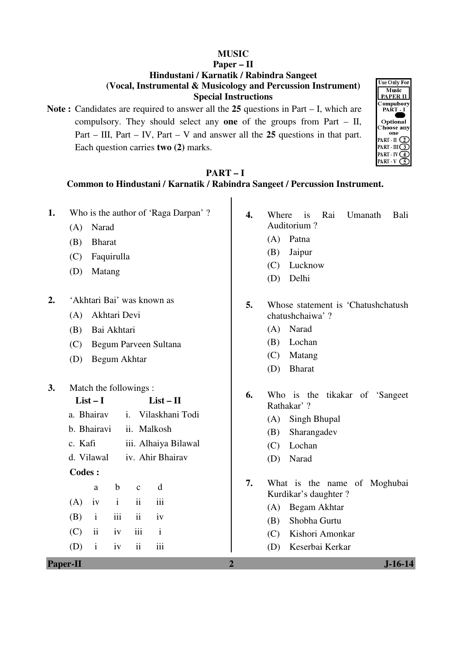#### **MUSIC**

#### **Paper – II Hindustani / Karnatik / Rabindra Sangeet (Vocal, Instrumental & Musicology and Percussion Instrument) Special Instructions**

**Note :** Candidates are required to answer all the **25** questions in Part – I, which are compulsory. They should select any **one** of the groups from Part – II, Part – III, Part – IV, Part – V and answer all the **25** questions in that part. Each question carries **two (2)** marks.



# **PART – I**

## **Common to Hindustani / Karnatik / Rabindra Sangeet / Percussion Instrument.**

**Paper-II 2 J-16-14 1.** Who is the author of 'Raga Darpan' ? (A) Narad (B) Bharat (C) Faquirulla (D) Matang **2.** 'Akhtari Bai' was known as (A) Akhtari Devi (B) Bai Akhtari (C) Begum Parveen Sultana (D) Begum Akhtar **3.** Match the followings : **List – I List – II**  a. Bhairav i. Vilaskhani Todi b. Bhairavi ii. Malkosh c. Kafi iii. Alhaiya Bilawal d. Vilawal iv. Ahir Bhairav  **Codes :**  a b c d  $(A)$  iv i ii iii  $(B)$  i iii ii iv (C) ii iv iii i  $(D)$  i iv ii iii **4.** Where is Rai Umanath Bali Auditorium ? (A) Patna (B) Jaipur (C) Lucknow (D) Delhi **5.** Whose statement is 'Chatushchatush chatushchaiwa' ? (A) Narad (B) Lochan (C) Matang (D) Bharat **6.** Who is the tikakar of 'Sangeet Rathakar' ? (A) Singh Bhupal (B) Sharangadev (C) Lochan (D) Narad **7.** What is the name of Moghubai Kurdikar's daughter ? (A) Begam Akhtar (B) Shobha Gurtu (C) Kishori Amonkar (D) Keserbai Kerkar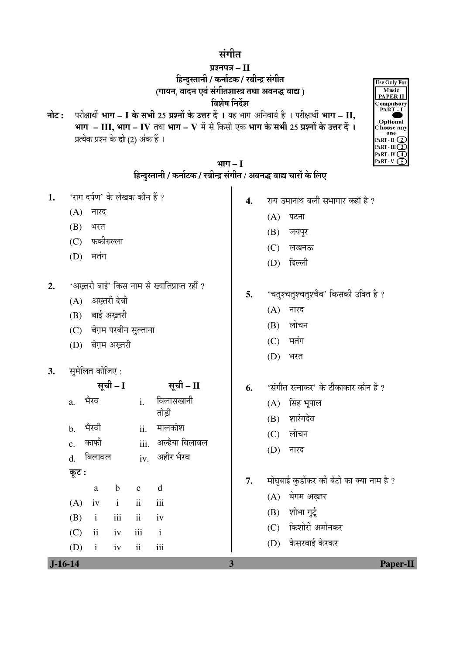## संगीत

# प्रश्नपत्र – II  $\overline{6}$ न्दुस्तानी / कर्नाटक / रबीन्द्र संगीत (गायन, वादन एवं संगीतशास्त्र तथा अवनद्ध वाद्य)

#### विशेष निर्देश

**नोट: परीक्षार्थी भाग – I के सभी 25 प्रश्नों के उत्तर दें ।** यह भाग अनिवार्य है । परीक्षार्थी भाग – II, **भाग – III, भाग – IV** तथा भाग – V में से किसी एक भाग के सभी 25 प्रश्नों के उत्तर दें । प्रत्येक प्रश्न के **दो** (2) अंक हैं ।



| भाग – I                                                             |  |
|---------------------------------------------------------------------|--|
| हिन्दुस्तानी / कर्नाटक / रबीन्द्र संगीत / अवनद्ध वाद्य चारों के लिए |  |

- 1. 'राग दर्पण' के लेखक कौन हैं ?
	- $(A)$  नारद
	- $(B)$  भरत
	- (C) फकीरुल्ला
	- $(D)$  मतंग
- 2. 'अख्तरी बाई' किस नाम से ख्यातिप्राप्त रहीं ?
	- $(A)$  अख़्तरी देवी
	- $(B)$  बाई अख्तरी
	- (C) बेग़म परबीन सुल्ताना
	- (D) बेग़म अख्तरी
- **3.** सुमेलित कीजिए:

|                |               | सूची – I     |                          | सूची – II           | 6. | 'संगीत रत्नाकर' के टीकाकार कौन हैं ?                         |
|----------------|---------------|--------------|--------------------------|---------------------|----|--------------------------------------------------------------|
| a.             | भैरव          |              | $i$ .                    | विलासखानी<br>तोड़ी  |    | सिंह भूपाल<br>(A)<br>शारंगदेव<br>(B)                         |
| $b_{-}$        | भैरवी         |              | ii.                      | मालकोश              |    | लोचन<br>(C)                                                  |
| $\mathbf{c}$ . | काफी          |              |                          | iii. अल्हैया बिलावल |    | (D)<br>नारद                                                  |
| d.             | बिलावल        |              |                          | iv. अहीर भैरव       |    |                                                              |
| कूट :          | a             | b            | $\mathbf{c}$             | d                   | 7. | मोघुबाई कुर्डीकर की बेटी का क्या नाम है ?<br>(A) बेगम अख़्तर |
| (A)            | iv            | $\mathbf{i}$ | $\overline{\mathbf{ii}}$ | iii                 |    |                                                              |
| (B)            | $\mathbf{i}$  | iii          | $\ddot{\rm ii}$          | iv                  |    | शोभा गुर्टू<br>(B)                                           |
| (C)            | $\mathbf{ii}$ | iv           | iii                      | $\mathbf{i}$        |    | (C) किशोरी अमोनकर                                            |
| (D)            | $\mathbf{i}$  | iv           | $\overline{\mathbf{ii}}$ | iii                 |    | (D) केसरबाई केरकर                                            |
| $J-16-14$      |               |              |                          |                     | 3  | <b>Paper-II</b>                                              |

- 4. <u>राय उमानाथ बली सभागार कहाँ है</u> ?
	- $(A)$  पटना
	- (B) जयपुर
	- (C) लखनऊ
	- (D) दिल्ली
- 5. 'चतुश्चतुश्चतुश्चैव' किसकी उक्ति है ?
	- $(A)$  नारद
	- $(B)$  लोचन
	- $(C)$  मतंग
	- $(D)$  भरत
- **6.** 'संगीत रत्नाकर' के टीकाकार कौन हैं ?
	- $(A)$  सिंह भूपाल
	- (B) शारंगदेव
	- $(C)$  लोचन
	- $(D)$  नारद
- 7. मोघुबाई कुर्डीकर की बेटी का क्या नाम है ?
	- (A) बेगम अख़्तर
	- $(B)$  शोभा गर्ट
	- (C) किशोरी अमोनकर
	- (D) केसरबाई केरकर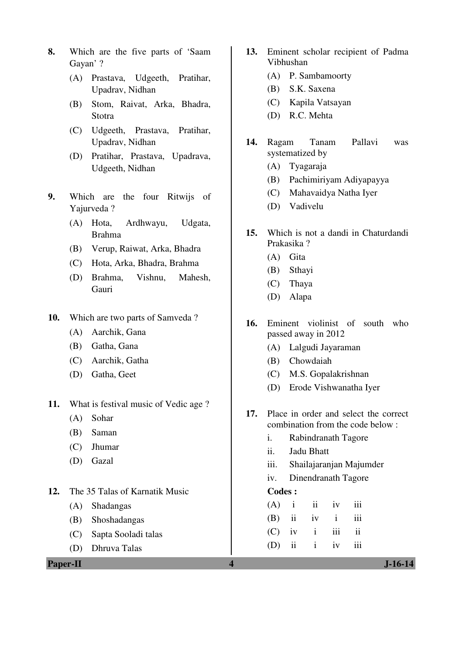- **8.** Which are the five parts of 'Saam Gayan' ?
	- (A) Prastava, Udgeeth, Pratihar, Upadrav, Nidhan
	- (B) Stom, Raivat, Arka, Bhadra, Stotra
	- (C) Udgeeth, Prastava, Pratihar, Upadrav, Nidhan
	- (D) Pratihar, Prastava, Upadrava, Udgeeth, Nidhan
- **9.** Which are the four Ritwijs of Yajurveda ?
	- (A) Hota, Ardhwayu, Udgata, Brahma
	- (B) Verup, Raiwat, Arka, Bhadra
	- (C) Hota, Arka, Bhadra, Brahma
	- (D) Brahma, Vishnu, Mahesh, Gauri
- **10.** Which are two parts of Samveda ?
	- (A) Aarchik, Gana
	- (B) Gatha, Gana
	- (C) Aarchik, Gatha
	- (D) Gatha, Geet
- **11.** What is festival music of Vedic age ?
	- (A) Sohar
	- (B) Saman
	- (C) Jhumar
	- (D) Gazal
- **12.** The 35 Talas of Karnatik Music
	- (A) Shadangas
	- (B) Shoshadangas
	- (C) Sapta Sooladi talas
	- (D) Dhruva Talas
- **13.** Eminent scholar recipient of Padma Vibhushan
	- (A) P. Sambamoorty
	- (B) S.K. Saxena
	- (C) Kapila Vatsayan
	- (D) R.C. Mehta
- **14.** Ragam Tanam Pallavi was systematized by
	- (A) Tyagaraja
	- (B) Pachimiriyam Adiyapayya
	- (C) Mahavaidya Natha Iyer
	- (D) Vadivelu
- **15.** Which is not a dandi in Chaturdandi Prakasika ?
	- (A) Gita
	- (B) Sthayi
	- (C) Thaya
	- (D) Alapa
- **16.** Eminent violinist of south who passed away in 2012
	- (A) Lalgudi Jayaraman
	- (B) Chowdaiah
	- (C) M.S. Gopalakrishnan
	- (D) Erode Vishwanatha Iyer
- **17.** Place in order and select the correct combination from the code below :
	- i. Rabindranath Tagore
	- ii. Jadu Bhatt
	- iii. Shailajaranjan Majumder
	- iv. Dinendranath Tagore

#### **Codes :**

|  | $(A)$ i ii iv iii |  |
|--|-------------------|--|
|  | $(B)$ ii iv i iii |  |
|  | $(C)$ iv i iii ii |  |
|  | $(D)$ ii i iv iii |  |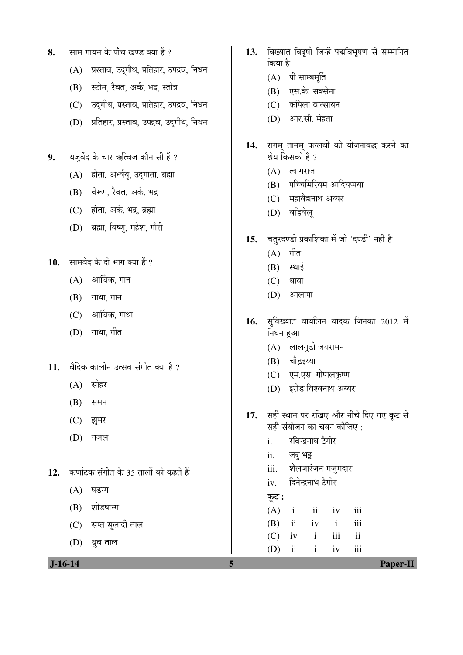- 8. साम गायन के पाँच खण्ड क्या हैं ?
	- $(A)$  प्रस्ताव, उदुगीथ, प्रतिहार, उपद्रव, निधन
	- (B) स्टोम, रैवत, अर्क, भद्र, स्तोत्र
	- (C) उदुगीथ, प्रस्ताव, प्रतिहार, उपद्रव, निधन
	- (D) प्रतिहार, प्रस्ताव, उपद्रव, उदगीथ, निधन
- 9. यज़र्वेद के चार ऋत्विज कौन सी हैं ?
	- $(A)$  होता, अर्ध्वयु, उदगाता, ब्रह्मा
	- (B) वेरूप, रैवत, अर्क, भद्र
	- $(C)$  होता. अर्क. भद्र. ब्रह्मा
	- (D) ब्रह्मा, विष्ण, महेश, गौरी
- 10. सामवेद के दो भाग क्या हैं ?
	- $(A)$  आर्चिक, गान
	- $(B)$  गाथा, गान
	- $(C)$  आर्चिक, गाथा
	- $(D)$  गाथा, गीत
- 11. वैदिक कालीन उत्सव संगीत क्या है ?
	- $(A)$  सोहर
	- $(B)$  समन
	- (C) झूमर
	- (D) गजल
- 12. **कर्णाटक संगीत के 35 तालों को कहते हैं** 
	- $(A)$  षडना
	- $(B)$  शोडषाना
	- (C) सप्त सूलादी ताल
	- $(D)$  ध्रुव ताल
- 13. विख्यात विदषी जिन्हें पद्मविभषण से सम्मानित किया है
	- $(A)$  पी साम्बमूर्ति
	- $(B)$  एस.के. सक्सेना
	- (C) कपिला वात्सायन
	- $(D)$  आर.सी. मेहता
- 14. रागम् तानम् पल्लवी को योजनाबद्ध करने का श्रेय किसको है ?
	- $(A)$  त्यागराज
	- (B) पच्चिमिरियम आदियप्पया
	- (C) महावैद्यनाथ अय्यर
	- (D) वडिवेल्
- 15. चतुरदण्डी प्रकाशिका में जो 'दण्डी' नहीं है
	- $(A)$  गीत
	- $(B)$  स्थाई
	- $(C)$  थाया
	- $(D)$  आलापा
- 16. सुविख्यात वायलिन वादक जिनका 2012 में निधन हुआ
	- $(A)$  लालगुडी जयरामन
	- (B) चौड़इय्या
	- (C) एम.एस. गोपालकृष्ण
	- (D) इरोड विश्वनाथ अय्यर
- 17. सही स्थान पर रखिए और नीचे दिए गए कूट से सही संयोजन का चयन कीजिए :
	- i. रविन्द्रनाथ टैगोर
	- ii. जद्भ
	- iii. शेलजारंजन मजूमदार
	- iv. दिनेन्द्रनाथ टैगोर
	- Ûæú™ü **:**

 $(A)$  i ii iv iii (B) ii iv i iii  $(C)$  iv i iii ii

(D) ii i iv iii

 **J-16-14 5 Paper-II**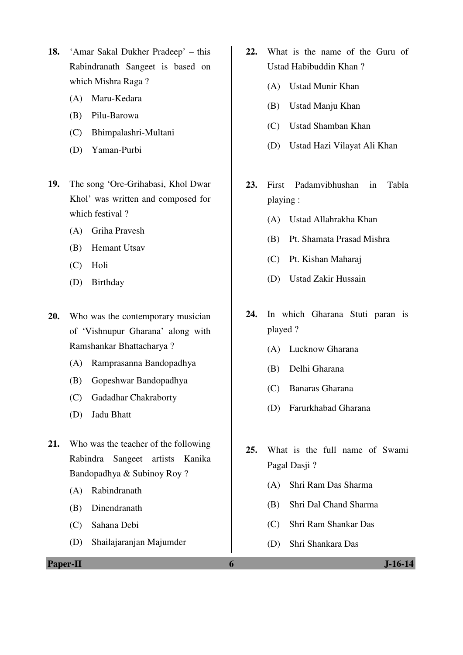- **18.** 'Amar Sakal Dukher Pradeep' this Rabindranath Sangeet is based on which Mishra Raga ?
	- (A) Maru-Kedara
	- (B) Pilu-Barowa
	- (C) Bhimpalashri-Multani
	- (D) Yaman-Purbi
- **19.** The song 'Ore-Grihabasi, Khol Dwar Khol' was written and composed for which festival ?
	- (A) Griha Pravesh
	- (B) Hemant Utsav
	- (C) Holi
	- (D) Birthday
- **20.** Who was the contemporary musician of 'Vishnupur Gharana' along with Ramshankar Bhattacharya ?
	- (A) Ramprasanna Bandopadhya
	- (B) Gopeshwar Bandopadhya
	- (C) Gadadhar Chakraborty
	- (D) Jadu Bhatt
- **21.** Who was the teacher of the following Rabindra Sangeet artists Kanika Bandopadhya & Subinoy Roy ?
	- (A) Rabindranath
	- (B) Dinendranath
	- (C) Sahana Debi
	- (D) Shailajaranjan Majumder

**Paper-II 6 J-16-14** 

- **22.** What is the name of the Guru of Ustad Habibuddin Khan ?
	- (A) Ustad Munir Khan
	- (B) Ustad Manju Khan
	- (C) Ustad Shamban Khan
	- (D) Ustad Hazi Vilayat Ali Khan
- **23.** First Padamvibhushan in Tabla playing :
	- (A) Ustad Allahrakha Khan
	- (B) Pt. Shamata Prasad Mishra
	- (C) Pt. Kishan Maharaj
	- (D) Ustad Zakir Hussain
- **24.** In which Gharana Stuti paran is played ?
	- (A) Lucknow Gharana
	- (B) Delhi Gharana
	- (C) Banaras Gharana
	- (D) Farurkhabad Gharana
- **25.** What is the full name of Swami Pagal Dasji ?
	- (A) Shri Ram Das Sharma
	- (B) Shri Dal Chand Sharma
	- (C) Shri Ram Shankar Das
	- (D) Shri Shankara Das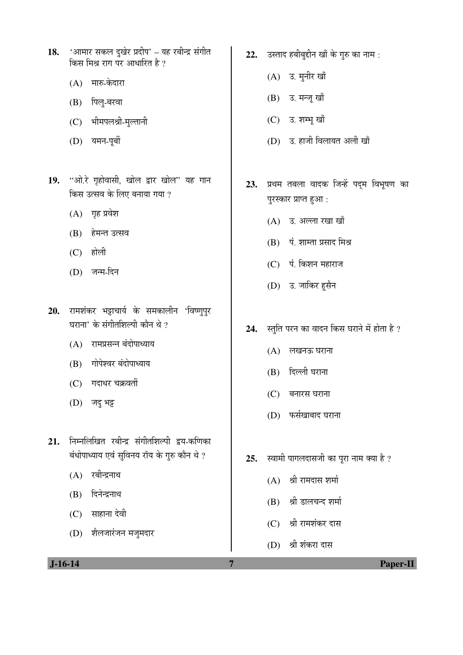- 18. 'आमार सकल दुखेर प्रदीप' यह रबीन्द्र संगीत किस मिश्र राग पर आधारित है ?
	- $(A)$  मारु-केदारा
	- (B) पिलू-बरवा
	- $(C)$  भीमपलश्री-मुल्तानी
	- (D) यमन-पूर्बी
- 19. "ओ.रे गृहोवासी, खोल द्वार खोल" यह गान किस उत्सव के लिए बनाया गया ?
	- $(A)$  गृह प्रवेश
	- (B) हेमन्त उत्सव
	- $(C)$  होली
	- (D) जन्म-दिन
- 20. रामशंकर भट्टाचार्य के समकालीन 'विष्णुपुर घराना' के संगीतशिल्पी कौन थे ?
	- $(A)$  रामप्रसन्न बंदोपाध्याय
	- (B) गोपेश्वर बंदोपाध्याय
	- $(C)$  गदाधर चक्रवर्ती
	- $(D)$  जदु भट्ट
- 21. निम्नलिखित रबीन्द्र संगीतशिल्पी द्वय-कणिका बंधोपाध्याय एवं सुविनय रॉय के गुरु कौन थे ?
	- $(A)$  रबीन्द्रनाथ
	- (B) दिनेन्द्रनाथ
	- (C) साहाना देवी
	- (D) शेलजारंजन मजुमदार
- 22. उस्ताद हबीबुद्दीन खाँ के गुरु का नाम:
	- $(A)$  उ. मुनीर खाँ
	- (B) उ. मन्जू खाँ
	- (C) उ. शम्भू खाँ
	- (D) उ. हाजी विलायत अली खाँ
- 23. प्रथम तबला वादक जिन्हें पद्म विभूषण का पुरस्कार प्राप्त हुआ:
	- $(A)$  उ. अल्ला रखा खाँ
	- (B) पं. शाम्ता प्रसाद मिश्र
	- $(C)$  पं. किशन महाराज
	- (D) उ. जाकिर हसैन
- 24. स्तुति परन का वादन किस घराने में होता है ?
	- (A) लखनऊ घराना
	- (B) दिल्ली घराना
	- $(C)$  बनारस घराना
	- (D) फर्सखोबाद घराना
- 25. स्वामी पागलदासजी का पूरा नाम क्या है ?
	- $(A)$  श्री रामदास शर्मा
	- (B) श्री डालचन्द शर्मा
	- (C) श्री रामशंकर दास
	- (D) श्री शंकरा दास

 **J-16-14 7 Paper-II**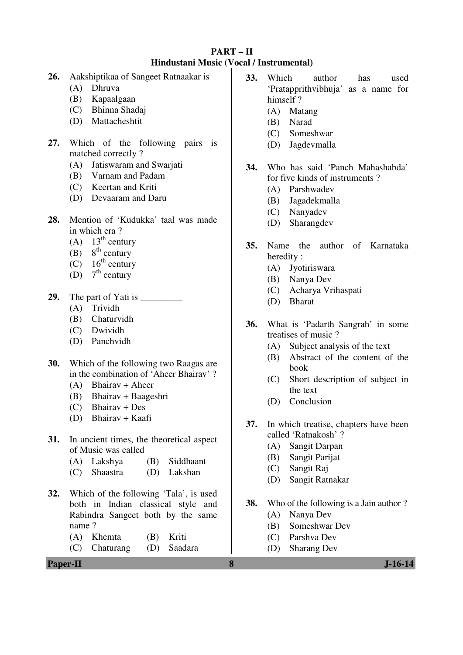## **PART – II Hindustani Music (Vocal / Instrumental)**

- **26.** Aakshiptikaa of Sangeet Ratnaakar is
	- (A) Dhruva
	- (B) Kapaalgaan
	- (C) Bhinna Shadaj
	- (D) Mattacheshtit
- **27.** Which of the following pairs is matched correctly ?
	- (A) Jatiswaram and Swarjati
	- (B) Varnam and Padam
	- (C) Keertan and Kriti
	- (D) Devaaram and Daru
- **28.** Mention of 'Kudukka' taal was made in which era ?
	- (A)  $13<sup>th</sup>$  century
	- (B)  $8<sup>th</sup>$  century
	- $(C)$  16<sup>th</sup> century
	- (D)  $7<sup>th</sup>$  century
- 29. The part of Yati is
	- (A) Trividh
	- (B) Chaturvidh
	- (C) Dwividh
	- (D) Panchvidh
- **30.** Which of the following two Raagas are in the combination of 'Aheer Bhairav' ?
	- (A) Bhairav + Aheer
	- (B) Bhairav + Baageshri
	- (C) Bhairav + Des
	- (D) Bhairav + Kaafi
- **31.** In ancient times, the theoretical aspect of Music was called
	- (A) Lakshya (B) Siddhaant
	- (C) Shaastra (D) Lakshan
- **32.** Which of the following 'Tala', is used both in Indian classical style and Rabindra Sangeet both by the same name ?
	- (A) Khemta (B) Kriti
	- (C) Chaturang (D) Saadara
- **33.** Which author has used 'Pratapprithvibhuja' as a name for himself ?
	- (A) Matang
	- (B) Narad
	- (C) Someshwar
	- (D) Jagdevmalla
- **34.** Who has said 'Panch Mahashabda' for five kinds of instruments ?
	- (A) Parshwadev
	- (B) Jagadekmalla
	- (C) Nanyadev
	- (D) Sharangdev
- **35.** Name the author of Karnataka heredity :
	- (A) Jyotiriswara
	- (B) Nanya Dev
	- (C) Acharya Vrihaspati
	- (D) Bharat
- **36.** What is 'Padarth Sangrah' in some treatises of music ?
	- (A) Subject analysis of the text
	- (B) Abstract of the content of the book
	- (C) Short description of subject in the text
	- (D) Conclusion
- **37.** In which treatise, chapters have been called 'Ratnakosh' ?
	- (A) Sangit Darpan
	- (B) Sangit Parijat
	- (C) Sangit Raj
	- (D) Sangit Ratnakar
- **38.** Who of the following is a Jain author ?
	- (A) Nanya Dev
	- (B) Someshwar Dev
	- (C) Parshva Dev
	- (D) Sharang Dev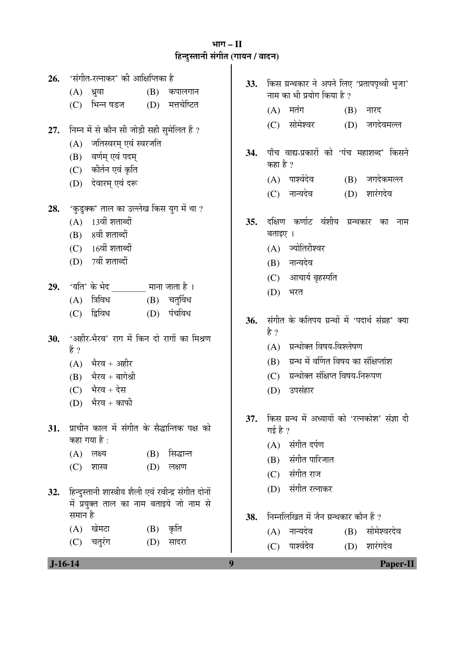# ³ÖÖÝÖ **– II**  िल<br>हिन्दुस्तानी संगीत (गायन / वादन)<br>**|**

| 26.<br>27. | 'संगीत-रत्नाकर' की आक्षिप्तिका है<br>(B)<br>कपालगान<br>(A)<br>ध्रुवा<br>(D) मत्तचेष्टित<br>भिन्न षडज<br>(C)<br>निम्न में से कौन सी जोड़ी सही सुमेलित हैं ?<br>जतिस्वरम् एवं स्वरजति<br>(A)<br>वर्णम् एवं पदम्<br>(B)<br>(C) कीर्तन एवं कृति<br>(D) देवारम् एवं दरू | 33.<br>34. | किस ग्रन्थकार ने अपने लिए 'प्रतापपृथ्वी भुजा'<br>नाम का भी प्रयोग किया है ?<br>मतंग<br>(A)<br>(B)<br>नारद<br>सोमेश्वर<br>(D) जगदेवमल्ल<br>(C)<br>पाँच वाद्य-प्रकारों को 'पंच महाशब्द' किसने<br>कहा है ?<br>(A) पार्श्वदेव<br>(B) जगदेकमल्ल<br>शारंगदेव<br>(C) नान्यदेव<br>(D) |
|------------|--------------------------------------------------------------------------------------------------------------------------------------------------------------------------------------------------------------------------------------------------------------------|------------|-------------------------------------------------------------------------------------------------------------------------------------------------------------------------------------------------------------------------------------------------------------------------------|
| 28.<br>29. | 'कुडुक्क' ताल का उल्लेख किस युग में था ?<br>13वीं शताब्दीं<br>(A)<br>(B) 8वीं शताब्दीं<br>$(C)$ 16वीं शताब्दीं<br>(D) 7वीं शताब्दीं<br>चतुर्विध<br>त्रिविध<br>(B)<br>(A)<br>द्विविध<br>पंचविध<br>(D)<br>(C)                                                        | 35.<br>36. | दक्षिण कर्णाट वंशीय ग्रन्थकार<br>का<br>नाम<br>बताइए ।<br>(A) ज्योतिरीश्वर<br>(B) नान्यदेव<br>(C) आचार्य बृहस्पति<br>(D)<br>भरत<br>संगीत के कतिपय ग्रन्थों में 'पदार्थ संग्रह' क्या                                                                                            |
| 30.        | 'अहीर-भैरव' राग में किन दो रागों का मिश्रण<br>हैं ?<br>भैरव + अहीर<br>(A)<br>भैरव + बागेश्री<br>(B)<br>$(C)$ भैरव + देस<br>भैरव + काफी<br>(D)                                                                                                                      |            | है ?<br>ग्रन्थोक्त विषय-विश्लेषण<br>(A)<br>ग्रन्थ में वर्णित विषय का संक्षिप्तांश<br>(B)<br>(C) ग्रन्थोक्त संक्षिप्त विषय-निरूपण<br>उपसंहार<br>(D)                                                                                                                            |
| 31.<br>32. | प्राचीन काल में संगीत के सैद्धान्तिक पक्ष को<br>कहा गया है :<br>सिद्धान्त<br>(A)<br>लक्ष्य<br>(B)<br>(D)<br>लक्षण<br>(C)<br>शास्त्र<br>हिन्दुस्तानी शास्त्रीय शैली एवं रवीन्द्र संगीत दोनों                                                                        | 37.        | किस ग्रन्थ में अध्यायों को 'रत्नकोश' संज्ञा दी<br>गई है ?<br>संगीत दर्पण<br>(A)<br>संगीत पारिजात<br>(B)<br>संगीत राज<br>(C)<br>संगीत रत्नाकर<br>(D)                                                                                                                           |
| $J-16-14$  | में प्रयुक्त ताल का नाम बताइये जो नाम से<br>समान है<br>$(A)$ खेमटा<br>$(B)$ कृति<br>चतुरंग<br>(C)<br>(D)<br>सादरा                                                                                                                                                  | 38.<br>9   | निम्नलिखित में जैन ग्रन्थकार कौन हैं ?<br>(A) नान्यदेव<br>सोमेश्वरदेव<br>(B)<br>पार्श्वदेव<br>शारंगदेव<br>(C)<br>(D)<br><b>Paper-II</b>                                                                                                                                       |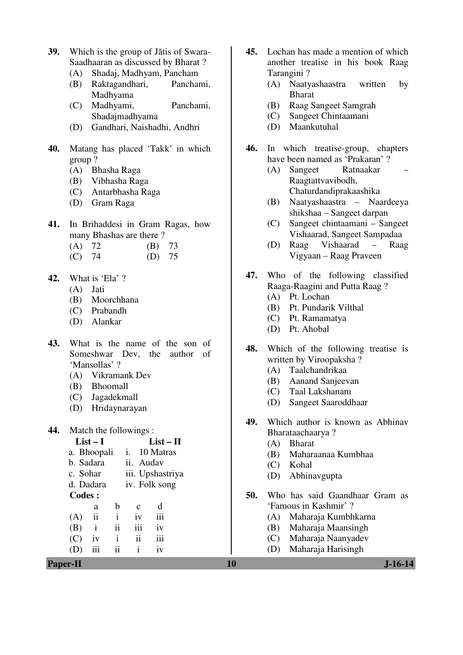- **39.** Which is the group of Jātis of Swara-Saadhaaran as discussed by Bharat ?
	- (A) Shadaj, Madhyam, Pancham
	- (B) Raktagandhari, Panchami, Madhyama
	- (C) Madhyami, Panchami, Shadajmadhyama
	- (D) Gandhari, Naishadhi, Andhri
- **40.** Matang has placed 'Takk' in which group ?
	- (A) Bhasha Raga
	- (B) Vibhasha Raga
	- (C) Antarbhasha Raga
	- (D) Gram Raga
- **41.** In Brihaddesi in Gram Ragas, how many Bhashas are there ?
	- (A) 72 (B) 73
	- (C) 74 (D) 75
- **42.** What is 'Ela' ?
	- (A) Jati
	- (B) Moorchhana
	- (C) Prabandh
	- (D) Alankar
- **43.** What is the name of the son of Someshwar Dev, the author of 'Mansollas' ?
	- (A) Vikramank Dev
	- (B) Bhoomall
	- (C) Jagadekmall
	- (D) Hridaynarayan
- **44.** Match the followings :

| $List-I$                                        | $List - II$                     |     | <b>Bharat</b><br>(A)           |
|-------------------------------------------------|---------------------------------|-----|--------------------------------|
| a. Bhoopali                                     | 10 Matras                       |     | Maharaanaa Kumbhaa<br>(B)      |
| b. Sadara                                       | ii. Audav                       |     | Kohal<br>(C)                   |
| c. Sohar                                        | iii. Upshastriya                |     | Abhinavgupta<br>(D)            |
| d. Dadara                                       | iv. Folk song                   |     |                                |
| <b>Codes:</b>                                   |                                 | 50. | Who has said Gaandhaar Gram as |
| b<br>a                                          | d<br>$\mathbf{c}$               |     | 'Famous in Kashmir'?           |
| $\overline{\mathbf{ii}}$<br>(A)<br>$\mathbf{1}$ | iii<br>1V                       |     | Maharaja Kumbhkarna<br>(A)     |
| (B)<br>$\overline{11}$                          | iii<br>iv                       |     | Maharaja Maansingh<br>(B)      |
| (C)<br>1V<br>$\mathbf{1}$                       | iii<br>$\overline{\mathbf{ii}}$ |     | Maharaja Naanyadev<br>(C)      |
| iii<br>ii<br>(D)                                | 1V<br>$\mathbf{1}$              |     | Maharaja Harisingh<br>(D)      |
| <b>Paper-II</b>                                 |                                 | 10  | <b>J-16-14</b>                 |

- **45.** Lochan has made a mention of which another treatise in his book Raag Tarangini ?
	- (A) Naatyashaastra written by Bharat
	- (B) Raag Sangeet Samgrah
	- (C) Sangeet Chintaamani
	- (D) Maankutuhal
- **46.** In which treatise-group, chapters have been named as 'Prakaran' ?
	- (A) Sangeet Ratnaakar Raagtattvavibodh, Chaturdandiprakaashika
	- (B) Naatyashaastra Naardeeya shikshaa – Sangeet darpan
	- (C) Sangeet chintaamani Sangeet Vishaarad, Sangeet Sampadaa
	- (D) Raag Vishaarad Raag Vigyaan – Raag Praveen
- **47.** Who of the following classified Raaga-Raagini and Putta Raag ? (A) Pt. Lochan
	-
	- (B) Pt. Pundarik Vilthal
	- (C) Pt. Ramamatya
	- (D) Pt. Ahobal
- **48.** Which of the following treatise is written by Viroopaksha ?
	- (A) Taalchandrikaa
	- (B) Aanand Sanjeevan
	- (C) Taal Lakshanam
	- (D) Sangeet Saaroddhaar
- **49.** Which author is known as Abhinav Bharataachaarya ?
	- (A) Bharat
	- (B) Maharaanaa Kumbhaa
	- (C) Kohal
	- (D) Abhinavgupta
- **50.** Who has said Gaandhaar Gram as 'Famous in Kashmir' ?
	- (A) Maharaja Kumbhkarna
	- (B) Maharaja Maansingh
	- (C) Maharaja Naanyadev
	- (D) Maharaja Harisingh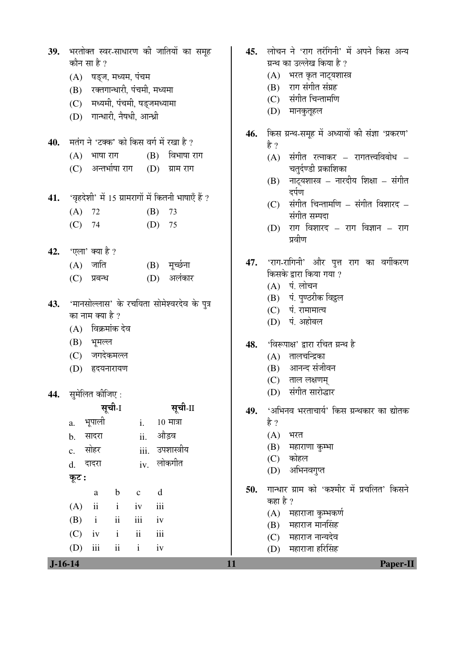|                     | 39. भरतोक्त स्वर-साधारण की जातियों का समूह<br>कौन सा है ? |                         |               |          |                                                        |
|---------------------|-----------------------------------------------------------|-------------------------|---------------|----------|--------------------------------------------------------|
|                     | (A) षड्ज, मध्यम, पंचम                                     |                         |               |          |                                                        |
|                     | (B) रक्तगान्धारी, पंचमी, मध्यमा                           |                         |               |          |                                                        |
|                     | (C) मध्यमी, पंचमी, षड्जमध्यामा                            |                         |               |          |                                                        |
|                     | (D) गान्धारी, नैषधी, आन्ध्री                              |                         |               |          |                                                        |
|                     |                                                           |                         |               |          |                                                        |
|                     |                                                           |                         |               |          | 40. मतंग ने 'टक्क' को किस वर्ग में रखा है ?            |
|                     |                                                           |                         |               |          | $(A)$ भाषा राग $(B)$ विभाषा राग                        |
|                     |                                                           |                         |               |          | (C) अन्तर्भाषा राग (D) ग्राम राग                       |
|                     |                                                           |                         |               |          | 41. 'वृहदेशी' में 15 ग्रामरागों में कितनी भाषाएँ हैं ? |
| $(A)$ 72            |                                                           |                         |               | $(B)$ 73 |                                                        |
| $(C)$ 74            |                                                           |                         |               | $(D)$ 75 |                                                        |
|                     |                                                           |                         |               |          |                                                        |
| 42. 'एला' क्या है ? |                                                           |                         |               |          |                                                        |
|                     | (A) जाति                                                  |                         |               |          | (B) मूर्च्छना                                          |
|                     | $(C)$ प्रबन्ध                                             |                         |               |          | (D) अलंकार                                             |
|                     |                                                           |                         |               |          | 43. 'मानसोल्लास' के रचयिता सोमेश्वरदेव के पुत्र        |
|                     | का नाम क्या है ?                                          |                         |               |          |                                                        |
|                     | (A) विक्रमांक देव                                         |                         |               |          |                                                        |
|                     | (B) भूमल्ल                                                |                         |               |          |                                                        |
|                     | (C) जगदेकमल्ल                                             |                         |               |          |                                                        |
|                     | (D) हृदयनारायण                                            |                         |               |          |                                                        |
| 44. सुमेलित कीजिए:  |                                                           |                         |               |          |                                                        |
|                     |                                                           | सूची-1                  |               |          | सूची-II                                                |
| a.                  | भूपाली                                                    |                         | i.            |          | $10$ मात्रा                                            |
| b. सादरा            |                                                           |                         |               | ii.      | औड़व                                                   |
| c. सोहर             |                                                           |                         |               |          | iii. उपशास्त्रीय                                       |
| d. दादरा            |                                                           |                         |               | iv.      | लोकगीत                                                 |
| कूट :               |                                                           |                         |               |          |                                                        |
|                     | $\rm{a}$                                                  | $\mathbf b$             | $\mathbf c$   | d        |                                                        |
| (A)                 | ii                                                        | $\mathbf{i}$            | iv            | iii      |                                                        |
| $(B)$ i             |                                                           | $\overline{\mathbf{i}}$ | iii           | iv       |                                                        |
| $(C)$ iv            |                                                           | $\mathbf{i}$            | $\mathbf{ii}$ | iii      |                                                        |
| (D)                 | iii                                                       | $\mathbf{ii}$           | $\mathbf{i}$  | iv       |                                                        |

45. लोचन ने 'राग तरंगिनी' में अपने किस अन्य ग्रन्थ का उल्लेख किया है ?

- $(A)$  भरत कृत नाट्यशास्त्र
- (B) राग संगीत संग्रह
- (C) संगीत चिन्तामणि
- (D) मानकुतूहल
- 46. किस ग्रन्थ-समूह में अध्यायों की संज्ञा 'प्रकरण' है ?
	- $(A)$  संगीत रत्नाकर रागतत्त्वविबोध चतर्दण्डी प्रकाशिका
	- $(B)$  नाट्यशास्त्र नारदीय शिक्षा संगीत दर्पण
	- $(C)$  संगीत चिन्तामणि संगीत विशारद संगीत सम्पदा
	- $(D)$  राग विशारद राग विज्ञान राग प्रवीण
- 47. 'राग-रागिनी' और पुत्त राग का वर्गीकरण किसके द्वारा किया गया ?
	- $(A)$  पं. लोचन
	- (B) पं. पुण्ठरीक विट्ठल
	- $(C)$  पं. रामामात्य
	- (D) पं. अहोबल
- 48. 'विरूपाक्ष' द्वारा रचित ग्रन्थ है
	- $(A)$  तालचन्द्रिका
	- (B) आनन्द संजीवन
	- $(C)$  ताल लक्षणम्
	- (D) संगीत सारोद्धार
- 49. <u>'अभिनव भरताचार्य' किस ग्रन्थकार का द्योतक</u>
	- है ?
	- $(A)$  भरत
	- $(B)$  महाराणा कृम्भा
	- (C) कोहल
	- (D) अभिनवगुप्त
- 50. गान्धार ग्राम को 'कश्मीर में प्रचलित' किसने कहा है ?
	- $(A)$  महाराजा कुम्भकर्ण
	- $(B)$  महाराज मानसिंह
	- (C) महाराज नान्यदेव
	- $(D)$  महाराजा हरिसिंह

 **J-16-14 11 Paper-II**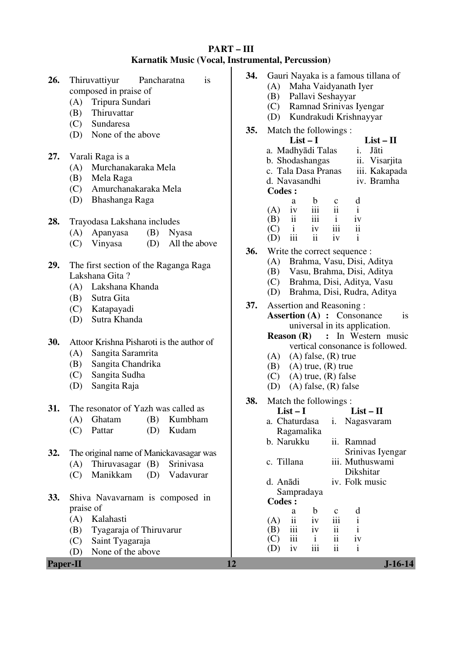### **PART – III Karnatik Music (Vocal, Instrumental, Percussion)**

| 26.      | Pancharatna<br>Thiruvattiyur<br>is<br>composed in praise of<br>Tripura Sundari<br>(A)<br>Thiruvattar<br>(B)<br>Sundaresa<br>(C)<br>None of the above<br>(D) | 34.<br>35. | Gauri Nayaka is a famous tillana of<br>(A) Maha Vaidyanath Iyer<br>(B)<br>Pallavi Seshayyar<br>Ramnad Srinivas Iyengar<br>(C)<br>Kundrakudi Krishnayyar<br>(D)<br>Match the followings:<br>$List-I$<br>$List - II$                                                           |
|----------|-------------------------------------------------------------------------------------------------------------------------------------------------------------|------------|------------------------------------------------------------------------------------------------------------------------------------------------------------------------------------------------------------------------------------------------------------------------------|
| 27.      | Varali Raga is a<br>Murchanakaraka Mela<br>(A)<br>Mela Raga<br>(B)<br>Amurchanakaraka Mela<br>(C)<br>Bhashanga Raga<br>(D)                                  |            | i.<br>a. Madhyādi Talas<br>Jāti<br>b. Shodashangas<br>ii. Visarjita<br>c. Tala Dasa Pranas<br>iii. Kakapada<br>iv. Bramha<br>d. Navasandhi<br><b>Codes:</b><br>$\mathbf b$<br>d<br>a<br>$\mathbf C$<br>$\mathbf{ii}$<br>iii<br>$\mathbf{i}$<br>(A)<br>iv                     |
| 28.      | Trayodasa Lakshana includes<br>Apanyasa<br>(B)<br><b>Nyasa</b><br>(A)                                                                                       |            | iii<br>$\mathbf{ii}$<br>$\mathbf{i}$<br>(B)<br>iv<br>$\overline{\textbf{ii}}$<br>iii<br>iv<br>(C)<br>$\mathbf{i}$<br>iii<br>$\mathbf{ii}$<br>iv<br>$\mathbf{i}$<br>(D)                                                                                                       |
| 29.      | All the above<br>(D)<br>(C)<br>Vinyasa<br>The first section of the Raganga Raga<br>Lakshana Gita?<br>(A) Lakshana Khanda                                    | 36.        | Write the correct sequence :<br>Brahma, Vasu, Disi, Aditya<br>(A)<br>(B) Vasu, Brahma, Disi, Aditya<br>(C) Brahma, Disi, Aditya, Vasu<br>Brahma, Disi, Rudra, Aditya<br>(D)                                                                                                  |
|          | Sutra Gita<br>(B)<br>Katapayadi<br>(C)<br>Sutra Khanda<br>(D)                                                                                               | 37.        | Assertion and Reasoning:<br><b>Assertion (A) : Consonance</b><br>is<br>universal in its application.<br>: In Western music<br><b>Reason</b> $(R)$                                                                                                                            |
| 30.      | Attoor Krishna Pisharoti is the author of<br>Sangita Saramrita<br>(A)<br>Sangita Chandrika<br>(B)<br>Sangita Sudha<br>(C)<br>(D)<br>Sangita Raja            |            | vertical consonance is followed.<br>$(A)$ $(A)$ false, $(R)$ true<br>$(A)$ true, $(R)$ true<br>(B)<br>$(A)$ true, $(R)$ false<br>(C)<br>$(A)$ false, $(R)$ false<br>(D)                                                                                                      |
| 31.      | The resonator of Yazh was called as<br>(A) Ghatam<br>(B) Kumbham<br>(C)<br>Pattar<br>Kudam<br>(D)                                                           | 38.        | Match the followings:<br>$List-I$<br>$List - II$<br>a. Chaturdasa<br>i. Nagasvaram<br>Ragamalika                                                                                                                                                                             |
| 32.      | The original name of Manickavasagar was<br>Thiruvasagar $(B)$<br>(A)<br>Srinivasa<br>Manikkam<br>Vadavurar<br>(C)<br>(D)                                    |            | b. Narukku<br>ii. Ramnad<br>Srinivas Iyengar<br>c. Tillana<br>iii. Muthuswami<br>Dikshitar<br>iv. Folk music<br>d. Anādi                                                                                                                                                     |
| 33.      | Shiva Navavarnam is composed in<br>praise of<br>(A)<br>Kalahasti<br>(B)<br>Tyagaraja of Thiruvarur<br>(C)<br>Saint Tyagaraja                                |            | Sampradaya<br><b>Codes:</b><br>$\mathbf b$<br>d<br>$\mathbf c$<br>a<br>ii<br>iii<br>$\mathbf{i}$<br>iv<br>(A)<br>iii<br>$\overline{\mathbf{u}}$<br>$\mathbf{i}$<br>iv<br>(B)<br>iii<br>ii<br>$\mathbf{i}$<br>iv<br>(C)<br>iii<br>$\ddot{\rm n}$<br>$\mathbf{i}$<br>iv<br>(D) |
| Paper-II | None of the above<br>(D)                                                                                                                                    | 12         | $J-16-14$                                                                                                                                                                                                                                                                    |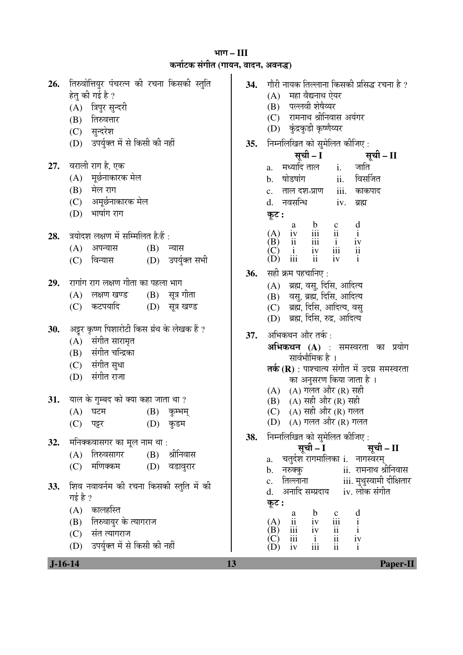³ÖÖÝÖ **– III**  Ûú®ÖÖÔ™üÛú ÃÖÓÝÖߟÖ **(**ÝÖÖµÖ®Ö, ¾ÖÖ¤ü®Ö, †¾Ö®Ö¨ü**)**

| 26. | तिरुवोत्तियुर पंचरत्न की रचना किसकी स्तुति<br>हेतु की गई है ?<br>(A) त्रिपुर सुन्दरी<br>(B) तिरुवत्तार<br>(C) सुन्दरेश                                          | 34. | गौरी नायक तिल्लाना किसकी प्रसिद्ध रचना है ?<br>(A) महा वैद्यनाथ ऐयर<br>पल्लवी शेषैय्यर<br>(B)<br>(C) रामनाथ श्रीनिवास अयंगर<br>(D) कुंद्रकुडी कृष्णेय्यर                                                                                                                                                                                 |
|-----|-----------------------------------------------------------------------------------------------------------------------------------------------------------------|-----|------------------------------------------------------------------------------------------------------------------------------------------------------------------------------------------------------------------------------------------------------------------------------------------------------------------------------------------|
|     | (D) उपर्युक्त में से किसी की नहीं                                                                                                                               | 35. | निम्नलिखित को सुमेलित कीजिए:<br>सूची – I                                                                                                                                                                                                                                                                                                 |
| 27. | वराली राग है, एक<br>(A) मूर्छनाकारक मेल<br>$(B)$ मेल राग<br>(C) अमूर्छनाकारक मेल<br>भाषांग राग<br>(D)                                                           |     | ्सूची – II<br>a. मध्यादिताल i. जाति<br>ii. विसर्जित<br>षोडषांग<br>b.<br>iii.<br>ताल दश-प्राण<br>काकपाद<br>$\mathbf{c}$ .<br>नवसन्धि<br>iv.<br>d.<br>ब्रह्म<br>कूट :<br>d<br>a                                                                                                                                                            |
| 28. | त्रयोदश लक्षण में सम्मिलित है/हैं :<br>(A) अपन्यास<br>(B)<br>न्यास<br>(D) उपर्युक्त सभी<br>विन्यास<br>(C)                                                       |     | $\frac{b}{i}$<br>$\frac{1}{i}$<br>$\frac{1}{i}$<br>$\frac{c}{11}$<br>$\mathbf{i}$<br>(A)<br>iv<br>$\frac{1}{1}$<br>$\frac{1}{1}$<br>ii<br>iv<br>(B)<br>$\overline{\textbf{ii}}$<br>(C)<br>iv<br>$\mathbf{1}$<br>iii<br>ii<br>iv<br>(D)<br>$\mathbf{i}$                                                                                   |
| 29. | रागांग राग लक्षण गीता का पहला भाग<br>$(B)$ सूत्र गीता<br>$(A)$ लक्षण खण्ड<br>कटपयादि<br>$(D)$ सूत्र खण्ड<br>(C)                                                 | 36. | सही क्रम पहचानिए :<br>(A) ब्रह्म, वसु, दिसि, आदित्य<br>(B) वसु, ब्रह्म, दिसि, आदित्य<br>(C) ब्रह्म, दिसि, आदित्य, वसु<br>(D) ब्रह्म, दिसि, रुद्र, आदित्य                                                                                                                                                                                 |
| 30. | अट्टर कृष्ण पिशारोटी किस ग्रंथ के लेखक हैं ?<br>(A) संगीत सारामृत<br>(B) संगीत चन्द्रिका<br>(C) संगीत सुधा<br>संगीत राजा<br>(D)                                 | 37. | अभिकथन और तर्क :<br><b>अभिकथन (A)</b> : समस्वरता का प्रयोग<br>सार्वभौमिक है ।<br><b>तर्क (R)</b> : पाश्चात्य संगीत में उदग्र समस्वरता<br>का अनुसरण किया जाता है ।                                                                                                                                                                        |
| 31. | याल के गुम्बद को क्या कहा जाता था ?<br>$(A)$ घटम<br>$(B)$ कुम्भम्<br>(C) पट्टर<br>(D) कुडम                                                                      |     | (A) (A) गलत और (R) सही<br>(B) (A) सही और (R) सही<br>(C) (A) सही और (R) गलत<br>(D) (A) गलत और (R) गलत                                                                                                                                                                                                                                     |
| 32. | मनिक्कवासगर का मूल नाम था :<br>श्रीनिवास<br>तिरुवसागर<br>(B)<br>(A)<br>मणिक्कम<br>(C)<br>(D)<br>वडावुरार                                                        | 38. | निम्नलिखित को सुमेलित कीजिए:<br>सूची – I<br>सूची – II<br>a.   चतुर्दश रागमालिका i.  नागस्वरम्<br>ii. रामनाथ श्रीनिवास<br>नरुक्कु<br>b.                                                                                                                                                                                                   |
| 33. | शिव नवावर्नम की रचना किसकी स्तुति में की<br>गई है ?<br>कालहस्ति<br>(A)<br>तिरुवायुर के त्यागराज<br>(B)<br>(C) संत त्यागराज<br>(D) उपर्युक्त में से किसी की नहीं |     | iii. मुथुस्वामी दीक्षितार<br>तिल्लाना<br>$\mathbf{c}$ .<br>अनादि सम्प्रदाय<br>iv. लोक संगीत<br>d.<br>कूट :<br>$\mathbf b$<br>$\begin{array}{c}\n d \\  i \\  i \\  iv \\  i\n \end{array}$<br>a<br>$\frac{c}{111}$<br>ii<br>(A)<br>iv<br>ii<br>iv<br>(B)<br>111<br>ii<br>iii<br>$\mathbf{i}$<br>(C)<br>iii<br>$\mathbf{ii}$<br>iv<br>(D) |

 **J-16-14 13 Paper-II**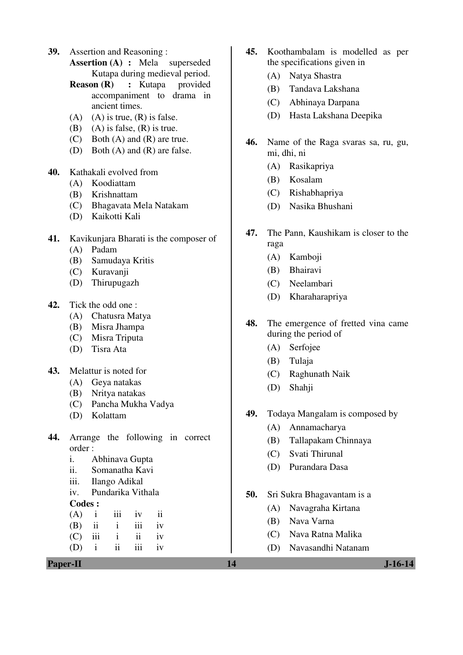- **39.** Assertion and Reasoning :
	- **Assertion (A) :** Mela superseded Kutapa during medieval period.
	- **Reason (R) :**  Kutapa accompaniment to drama in ancient times.
	- (A) (A) is true,  $(R)$  is false.
	- (B) (A) is false,  $(R)$  is true.
	- (C) Both (A) and (R) are true.
	- (D) Both (A) and (R) are false.
- **40.** Kathakali evolved from
	- (A) Koodiattam
	- (B) Krishnattam
	- (C) Bhagavata Mela Natakam
	- (D) Kaikotti Kali
- **41.** Kavikunjara Bharati is the composer of
	- (A) Padam
	- (B) Samudaya Kritis
	- (C) Kuravanji
	- (D) Thirupugazh
- **42.** Tick the odd one :
	- (A) Chatusra Matya
	- (B) Misra Jhampa
	- (C) Misra Triputa
	- (D) Tisra Ata
- **43.** Melattur is noted for
	- (A) Geya natakas
	- (B) Nritya natakas
	- (C) Pancha Mukha Vadya
	- (D) Kolattam
- **44.** Arrange the following in correct order :
	- i. Abhinava Gupta
	- ii. Somanatha Kavi
	- iii. Ilango Adikal
	- iv. Pundarika Vithala
	- **Codes :**
	- $(A)$  i iii iv ii  $(B)$  ii iii iv  $(C)$  iii ii iv
	- $(D)$  i ii iii iv
- **Paper-II** J-16-14
- **45.** Koothambalam is modelled as per the specifications given in
	- (A) Natya Shastra
	- (B) Tandava Lakshana
	- (C) Abhinaya Darpana
	- (D) Hasta Lakshana Deepika
- **46.** Name of the Raga svaras sa, ru, gu, mi, dhi, ni
	- (A) Rasikapriya
	- (B) Kosalam
	- (C) Rishabhapriya
	- (D) Nasika Bhushani
- **47.** The Pann, Kaushikam is closer to the raga
	- (A) Kamboji
	- (B) Bhairavi
	- (C) Neelambari
	- (D) Kharaharapriya
- **48.** The emergence of fretted vina came during the period of
	- (A) Serfojee
	- (B) Tulaja
	- (C) Raghunath Naik
	- (D) Shahji
- **49.** Todaya Mangalam is composed by
	- (A) Annamacharya
	- (B) Tallapakam Chinnaya
	- (C) Svati Thirunal
	- (D) Purandara Dasa
- **50.** Sri Sukra Bhagavantam is a
	- (A) Navagraha Kirtana
	- (B) Nava Varna
	- (C) Nava Ratna Malika
	- (D) Navasandhi Natanam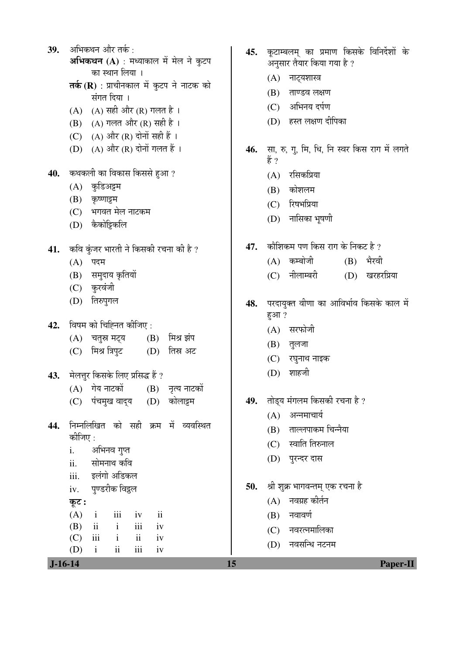39. अभिकथन और तर्क: **अभिकथन (A)** : मध्याकाल में मेल ने कुटप का स्थान लिया । **तर्क (R)** : प्राचीनकाल में कुटप ने नाटक को संगत दिया । (A) (A) सही और (R) गलत है।  $(B)$  (A) गलत और (R) सही है । (C) (A) और (R) दोनों सही हैं । (D) (A) और (R) दोनों गलत हैं । 40. कथकली का विकास किससे हुआ ?  $(A)$  कुडिअट्टम  $(B)$  कृष्णाट्टम (C) भगवत मेल नाटकम (D) कैकोट्टिकलि 41. कवि कुंजर भारती ने किसकी रचना की है ?  $(A)$  पदम (B) समुदाय कृतियों (C) कुरवंजी (D) तिरुपुगल 42. विषम को चिह्नित कीजिए: (A) चतुस्र मट्य (B) मिश्र झंप (C) मिश्र त्रिपुट (D) तिस्र अट 43. **मेलत्तूर किसके लिए प्रसिद्ध हैं** ?  $(A)$  गेय नाटकों  $(B)$  नृत्य नाटकों (C) पंचमुख वादय (D) कोलाइम 44. निम्नलिखित को सही क्रम में व्यवस्थित कोजिए $\,$  : i. अभिनव गुप्त ii. सोमनाथ कवि iii. इलंगो अडिकल iv. पण्डरीक विद्रल कूट :  $(A)$  i iii iv ii (B) ii i iii iv  $(C)$  iii i ii iv (D) i ii iii iv

- 45. कुटाम्बलम् का प्रमाण किसके विनिर्देशों के अनुसार तैयार किया गया है ?
	- (A) नाट्यशास्त्र
	- $(B)$  ताण्डव लक्षण
	- $(C)$  अभिनय दर्पण
	- (D) हस्त लक्षण दीपिका
- 46. सा, रु, गू, मि, धि, नि स्वर किस राग में लगते हें ?
	- $(A)$  रसिकप्रिया
	- $(B)$  कोशलम
	- (C) रिषभप्रिया
	- (D) नासिका भूषणी
- 47. कौशिकम पण किस राग के निकट है ?
	- $(A)$  कम्बोजी  $(B)$  भैरवी
	- (C) नीलाम्बरी (D) खरहरप्रिया
- 48. परदायुक्त वीणा का आविर्भाव किसके काल में हुआ ?
	- $(A)$  सरफोजी
	- $(B)$  तुलजा
	- (C) रघुनाथ नाइक
	- $(D)$  शाहजी
- 49. तोड्य मंगलम किसकी रचना है ?
	- $(A)$  अन्नमाचार्य
	- $(B)$  ताल्लपाकम चिन्नैया
	- $(C)$  स्वाति तिरुनाल
	- (D) पुरन्दर दास
- 50. श्री शुक्र भागवन्तम् एक रचना है
	- $(A)$  नवग्रह कीर्तन
	- $(B)$  नवावर्ण
	- (C) नवरत्नमालिका
	- $(D)$  नवसन्धि नटनम

 **J-16-14 15 Paper-II**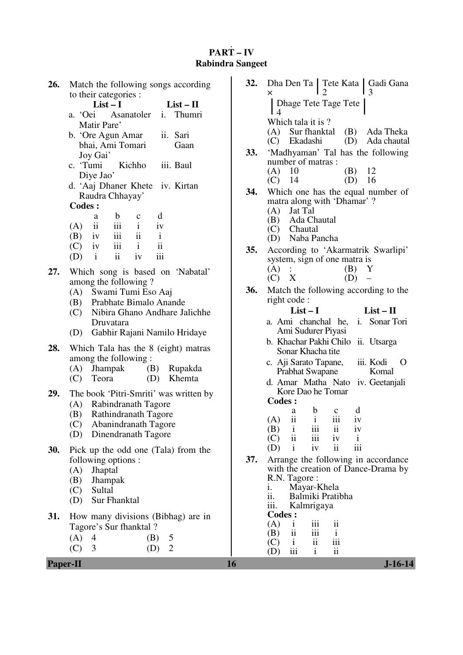# **PART – IV Rabindra Sangeet**

| 26.             | Match the following songs according                                            | 32. | Dha Den Ta   Tete Kata   Gadi Gana                                 |
|-----------------|--------------------------------------------------------------------------------|-----|--------------------------------------------------------------------|
|                 | to their categories :                                                          |     | x                                                                  |
|                 | $List-I$<br>$List-II$                                                          |     | Dhage Tete Tage Tete<br>$\overline{4}$                             |
|                 | Thumri<br>a. 'Oei<br>Asanatoler<br>i.<br>Matir Pare'                           |     | Which tala it is ?                                                 |
|                 | b. 'Ore Agun Amar<br>ii. Sari                                                  |     | Sur fhanktal<br>(A)<br>(B)<br>Ada Theka                            |
|                 | bhai, Ami Tomari<br>Gaan                                                       |     | (D)<br>Ekadashi<br>Ada chautal<br>(C)                              |
|                 | Joy Gai'                                                                       | 33. | 'Madhyaman' Tal has the following                                  |
|                 | Kichho<br>c. 'Tumi<br>iii. Baul                                                |     | number of matras:                                                  |
|                 | Diye Jao'                                                                      |     | (B)<br>12<br>(A)<br>10<br>14<br>(D)<br>16<br>(C)                   |
|                 | d. 'Aaj Dhaner Khete iv. Kirtan                                                | 34. | Which one has the equal number of                                  |
|                 | Raudra Chhayay'                                                                |     | matra along with 'Dhamar'?                                         |
|                 | <b>Codes:</b>                                                                  |     | Jat Tal<br>(A)                                                     |
|                 | $\mathbf b$<br>d<br>a<br>$\mathbf c$<br>iii<br>ii<br>$\mathbf{i}$<br>iv<br>(A) |     | Ada Chautal<br>(B)                                                 |
|                 | iii<br>ii<br>(B)<br>$\mathbf{i}$<br>1V                                         |     | Chautal<br>(C)<br>Naba Pancha                                      |
|                 | $\mathbf{ii}$<br>iii<br>$\mathbf{i}$<br>(C)<br>iv                              |     | (D)                                                                |
|                 | iii<br>ii<br>(D)<br>$\mathbf{i}$<br>iv                                         | 35. | According to 'Akarmatrik Swarlipi'<br>system, sign of one matra is |
| 27.             | Which song is based on 'Nabatal'                                               |     | (A)<br>(B)<br>Y                                                    |
|                 | among the following?                                                           |     | (D)<br>$(C)$ X<br>$\overline{\phantom{0}}$                         |
|                 | Swami Tumi Eso Aaj<br>(A)                                                      | 36. | Match the following according to the                               |
|                 | Prabhate Bimalo Anande<br>(B)                                                  |     | right code:                                                        |
|                 | Nibira Ghano Andhare Jalichhe<br>(C)                                           |     | $List-I$<br>$List - II$                                            |
|                 | Druvatara                                                                      |     | a. Ami chanchal he,<br>i. Sonar Tori                               |
|                 | Gabhir Rajani Namilo Hridaye<br>(D)                                            |     | Ami Sudurer Piyasi<br>b. Khachar Pakhi Chilo ii. Utsarga           |
| 28.             | Which Tala has the 8 (eight) matras                                            |     | Sonar Khacha tite                                                  |
|                 | among the following:                                                           |     | c. Aji Sarato Tapane,<br>iii. Kodi<br>O                            |
|                 | <b>Jhampak</b><br>(B)<br>Rupakda<br>(A)                                        |     | Komal<br>Prabhat Swapane                                           |
|                 | Khemta<br>(C)<br>Teora<br>(D)                                                  |     | d. Amar Matha Nato<br>iv. Geetanjali                               |
| 29.             | The book 'Pitri-Smriti' was written by                                         |     | Kore Dao he Tomar                                                  |
|                 | Rabindranath Tagore<br>(A)                                                     |     | <b>Codes:</b><br>d<br>b<br>$\mathbf c$<br>a                        |
|                 | Rathindranath Tagore<br>(B)                                                    |     | ii<br>iii<br>$\mathbf{i}$<br>(A)<br>iv                             |
|                 | (C)<br>Abanindranath Tagore                                                    |     | (B)<br>1<br>111<br>11<br>1V                                        |
|                 | Dinendranath Tagore<br>(D)                                                     |     | $\overline{\mathbf{ii}}$<br>iii<br>(C)<br>iv<br>1                  |
| 30.             | Pick up the odd one (Tala) from the                                            |     | iii<br>$\ddot{\rm n}$<br>(D)<br>iv<br>$\mathbf{i}$                 |
|                 | following options :                                                            | 37. | Arrange the following in accordance                                |
|                 | Jhaptal<br>(A)                                                                 |     | with the creation of Dance-Drama by<br>R.N. Tagore:                |
|                 | Jhampak<br>(B)<br>Sultal<br>(C)                                                |     | Mayar-Khela<br>1.                                                  |
|                 | Sur Fhanktal<br>(D)                                                            |     | ii.<br>Balmiki Pratibha                                            |
|                 |                                                                                |     | Kalmrigaya<br>iii.                                                 |
| 31.             | How many divisions (Bibhag) are in                                             |     | <b>Codes:</b><br>(A)<br>iii<br>ii<br>$\bf{1}$                      |
|                 | Tagore's Sur fhanktal?                                                         |     | $\overline{\mathbf{1}}$<br>iii<br>$\mathbf{i}$<br>(B)              |
|                 | $\overline{4}$<br>(A)<br>(B)<br>5<br>3<br>$\overline{2}$<br>(D)                |     | iii<br>$\overline{\mathbf{u}}$<br>$\mathbf{i}$<br>(C)              |
|                 | (C)                                                                            |     | iii<br>$\overline{\mathbf{u}}$<br>(D)<br>$\mathbf{i}$              |
| <b>Paper-II</b> |                                                                                | 16  | $J-16-14$                                                          |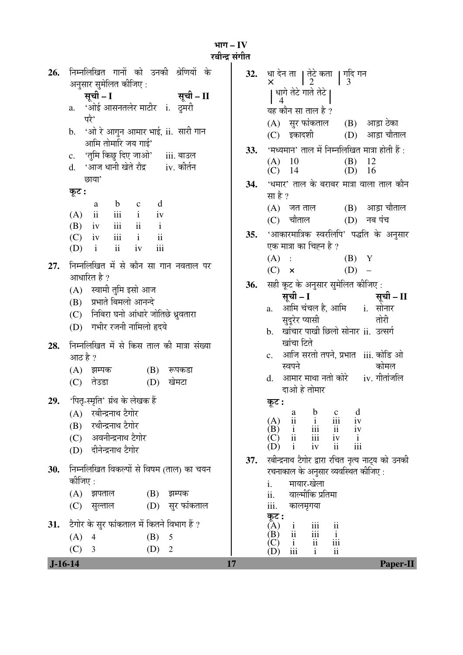|                | भाग – I ${\bf V}$ |
|----------------|-------------------|
|                |                   |
| रबीन्द्र संगीत |                   |
|                |                   |

| $J-16-14$ |                                                                                  | 17   | <b>Paper-II</b>                                                                                                                          |
|-----------|----------------------------------------------------------------------------------|------|------------------------------------------------------------------------------------------------------------------------------------------|
|           | (C)<br>(D)<br>3<br>$\overline{2}$                                                |      | (C)<br>iii<br>$\mathbf{ii}$<br>(D)<br>$\mathbf{i}$                                                                                       |
|           | (A)<br>(B)<br>5<br>$\overline{4}$                                                |      | iii<br>$\frac{i}{\text{iii}}$<br>(B)<br>$\overline{ii}$<br>$\mathbf{i}$                                                                  |
| 31.       | टैगोर के सुर फांकताल में कितने विभाग हैं ?                                       |      | कूट :<br>iii<br>$\overline{(\mathbf{A})}$<br>$\frac{i}{ii}$<br>$\overline{\mathbf{u}}$                                                   |
|           | (D) सुर फांकताल<br>(C)<br>सुल्ताल                                                |      | iii.<br>कालमृगया                                                                                                                         |
|           | (A)<br>झपताल<br>(B)<br>झम्पक                                                     |      | वाल्मीकि प्रतिमा<br>ii.                                                                                                                  |
|           | कीजिए :                                                                          |      | मायार-खेला<br>i.                                                                                                                         |
| 30.       | निम्नलिखित विकल्पों से विषम (ताल) का चयन                                         |      | रचनाकाल के अनुसार व्यवस्थित कीजिए :                                                                                                      |
|           | (D) दीनेन्द्रनाथ टैगोर                                                           | 37.  | रबीन्द्रनाथ टैगोर द्वारा रचित नृत्य नाट्य को उनकी                                                                                        |
|           | (C) अवनीन्द्रनाथ टैगोर                                                           |      | $\frac{iv}{i}$<br>$\frac{1}{11}$<br>$\frac{iii}{111}$<br>$\frac{1}{1}$<br>$\frac{1}{1}$<br>(C)<br>iii<br>ii<br>iv<br>(D)<br>$\mathbf{i}$ |
|           | (B) रथीन्द्रनाथ टैगोर                                                            |      | $\mathbf{i}$<br>(A)<br>iv<br>(B)                                                                                                         |
|           | रबीन्द्रनाथ टैगोर<br>(A)                                                         |      | $\mathbf b$<br>d<br>$\frac{a}{11}$<br>$\frac{c}{iii}$                                                                                    |
| 29.       | 'पितृ-स्मृति' ग्रंथ के लेखक हैं                                                  |      | कुट :                                                                                                                                    |
|           | खेमटा<br>तेउडा<br>(C)<br>(D)                                                     |      | आमार माथा नतो कोरे iv. गीतांजलि<br>d.<br>दाओ हे तोमार                                                                                    |
|           | (A) झम्पक<br>(B)<br>रूपकडा                                                       |      | कोमल<br>स्वपने                                                                                                                           |
|           | आठ है ?                                                                          |      | आजि सरतो तपने, प्रभात   iii. कोडि ओ<br>c.                                                                                                |
| 28.       | निम्नलिखित में से किस ताल की मात्रा संख्या                                       |      | खांचा टिते                                                                                                                               |
|           | (D) गभीर रजनी नामिलो हृदये                                                       |      | तोरी<br>सुदूरेर प्यासी<br>खांचार पाखी छिलो सोनार ii. उत्सर्ग<br>$\mathbf b$ .                                                            |
|           | (C) निबिरा घनो आंधारे जोतिछे ध्रुवतारा                                           |      | a. आमि चंचल है, आमि i. सोनार                                                                                                             |
|           | (B) प्रभाते बिमलो आनन्दे                                                         |      | सूची – I<br>सूची – II                                                                                                                    |
|           | आधारित है ?<br>(A) स्वामी तुमि इसो आज                                            | 36.  | सही कूट के अनुसार सुमेलित कीजिए:                                                                                                         |
| 27.       | निम्नलिखित में से कौन सा गान नवताल पर                                            |      | $(D)$ –<br>$(C) \times$                                                                                                                  |
|           | ii<br>iii<br>$\mathbf{i}$<br>(D)<br>iv                                           |      | (A)<br>$(B)$ Y<br>$\mathcal{A}^{\text{max}}_{\text{max}}$                                                                                |
|           | $i$ ii<br>iii<br>(C)<br>iv                                                       | 35.  | 'आकारमात्रिक स्वरलिपि' पद्धति के अनुसार<br>एक मात्रा का चिह्न है ?                                                                       |
|           | $\overline{\mathbf{ii}}$<br>$\mathbf{i}$<br>iii<br>(B)<br>iv                     |      | (C) चौताल<br>$(D)$ नब पंच                                                                                                                |
|           | $\mathbf c$<br>a<br>$\overline{\mathbf{ii}}$<br>iii<br>$\mathbf{i}$<br>(A)<br>iv |      | $(B)$ आड़ा चौताल<br>(A) जत ताल                                                                                                           |
|           | कूट :<br>$\mathbf b$<br>d                                                        |      | सा है ?                                                                                                                                  |
|           | छाया'                                                                            | 34.  | 'धमार' ताल के बराबर मात्रा वाला ताल कौन                                                                                                  |
|           | 'आज धानी खेते रौद्र       iv. कीर्तन<br>d.                                       |      | 12<br>10<br>(B)<br>(A)<br>$(C)$ 14<br>(D)<br>-16                                                                                         |
|           | 'तुमि किछु दिए जाओ' iii. बाउल<br>$\mathbf{c}$ .                                  | 33.  | 'मध्यमान' ताल में निम्नलिखित मात्रा होती हैं :                                                                                           |
|           | 'ओ रे आगुन आमार भाई, ii.  सारी गान<br>$\mathbf b$ .<br>आमि तोमारि जय गाई'        |      | इकादशी<br>आड़ा चौताल<br>(D)<br>(C)                                                                                                       |
|           | परे'                                                                             |      | (A) सुर फांकताल<br>(B) आड़ा ठेका                                                                                                         |
|           | a. 'ओई आसनतलेर माटीर i. दुमरी                                                    |      | यह कौन सा ताल है ?                                                                                                                       |
|           | सूची – I<br>सूची – II                                                            |      | ्धागे तेटे गाते तेटे <b> </b><br>4                                                                                                       |
| 26.       | निम्नलिखित गानों को उनकी श्रेणियों के<br>अनुसार सुमेलित कीजिए :                  | 32.  |                                                                                                                                          |
|           |                                                                                  | 25.7 |                                                                                                                                          |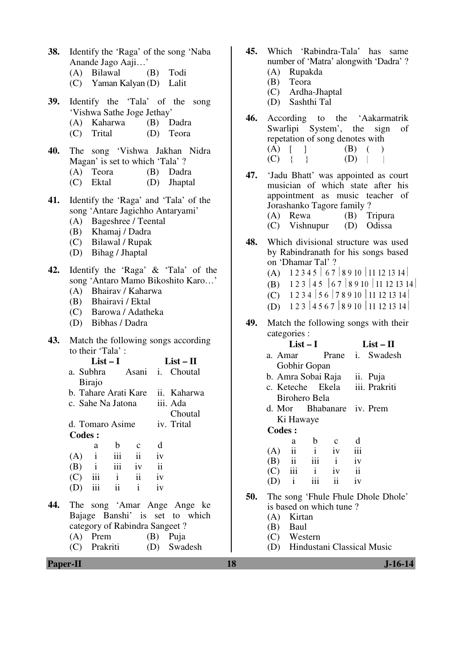| <b>Paper-II</b> |                                                                                                                                                                                                                                                                     | 18  | $J-16-14$                                                                                                                                                                                                                                                |
|-----------------|---------------------------------------------------------------------------------------------------------------------------------------------------------------------------------------------------------------------------------------------------------------------|-----|----------------------------------------------------------------------------------------------------------------------------------------------------------------------------------------------------------------------------------------------------------|
| 44.             | The song 'Amar Ange Ange ke<br>Bajage Banshi' is set to which<br>category of Rabindra Sangeet?<br>Prem<br>(A)<br>(B)<br>Puja<br>Prakriti<br>Swadesh<br>(C)<br>(D)                                                                                                   |     | is based on which tune?<br>Kirtan<br>(A)<br>(B)<br>Baul<br>Western<br>(C)<br>Hindustani Classical Music<br>(D)                                                                                                                                           |
|                 | $\mathbf b$<br>d<br>$\mathbf c$<br>a<br>iii<br>(A)<br>$\mathbf{i}$<br>$\overline{\mathbf{u}}$<br>iv<br>iii<br>$\ddot{\rm ii}$<br>(B)<br>iv<br>$\mathbf{1}$<br>iii<br>(C)<br>$\overline{\mathbf{u}}$<br>$\mathbf{i}$<br>iv<br>ii<br>iii<br>$\mathbf{i}$<br>iv<br>(D) | 50. | $\rm ii$<br>(A)<br>iv<br>iii<br>$\mathbf{i}$<br>iii<br>$\mathbf{ii}$<br>$\mathbf{i}$<br>(B)<br>iv<br>iii<br>ii<br>$\mathbf{i}$<br>(C)<br>iv<br>iii<br>$\mathbf{ii}$<br>(D)<br>$\mathbf{i}$<br>iv<br>The song 'Fhule Fhule Dhole Dhole'                   |
|                 | iv. Trital<br>d. Tomaro Asime<br>Codes :                                                                                                                                                                                                                            |     | Ki Hawaye<br><b>Codes:</b><br>$\mathbf b$<br>d<br>a<br>$\mathbf c$                                                                                                                                                                                       |
|                 | i. Choutal<br>a. Subhra<br>Asani<br><b>Birajo</b><br>b. Tahare Arati Kare ii. Kaharwa<br>iii. Ada<br>c. Sahe Na Jatona<br>Choutal                                                                                                                                   |     | b. Amra Sobai Raja<br>ii. Puja<br>c. Keteche Ekela<br>iii. Prakriti<br><b>Birohero Bela</b><br>Bhabanare iv. Prem<br>d. Mor                                                                                                                              |
| 43.             | Match the following songs according<br>to their 'Tala':<br>$List - II$<br>$List-I$                                                                                                                                                                                  |     | $List-I$<br>$List - II$<br>Swadesh<br>a. Amar<br>Prane<br>i.<br>Gobhir Gopan                                                                                                                                                                             |
| 42.             | Identify the 'Raga' & 'Tala' of the<br>song 'Antaro Mamo Bikoshito Karo'<br>Bhairav / Kaharwa<br>(A)<br>Bhairavi / Ektal<br>(B)<br>Barowa / Adatheka<br>(C)<br>Bibhas / Dadra<br>(D)                                                                                | 49. | on 'Dhamar Tal'?<br>(A) $12345   67   8910   11121314  $<br>(B) $1\ 2\ 3\ 4\ 5\ 6\ 7\ 8\ 9\ 10\ 11\ 12\ 13\ 14$<br>1234   56   78910   11121314  <br>(C)<br>(D) $123   4567   8910   11121314  $<br>Match the following songs with their<br>categories : |
| 41.             | Identify the 'Raga' and 'Tala' of the<br>song 'Antare Jagichho Antaryami'<br>(A) Bageshree / Teental<br>Khamaj / Dadra<br>(B)<br>Bilawal / Rupak<br>(C)<br>Bihag / Jhaptal<br>(D)                                                                                   | 48. | appointment as music teacher of<br>Jorashanko Tagore family?<br>$(A)$ Rewa<br>(B) Tripura<br>$(C)$ Vishnupur<br>(D) Odissa<br>Which divisional structure was used<br>by Rabindranath for his songs based                                                 |
| 40.             | The song 'Vishwa Jakhan Nidra<br>Magan' is set to which 'Tala' ?<br>Teora<br>(B)<br>Dadra<br>(A)<br>Ektal<br>Jhaptal<br>(D)<br>(C)                                                                                                                                  | 47. | (A)<br>(B)<br>$\mathbf{I}$<br>$(C) \{$<br>$\{\}$<br>(D)<br>'Jadu Bhatt' was appointed as court<br>musician of which state after his                                                                                                                      |
| 39.             | Identify the 'Tala' of the song<br>'Vishwa Sathe Joge Jethay'<br>(A) Kaharwa<br>(B) Dadra<br>Trital<br>(D)<br>Teora<br>(C)                                                                                                                                          | 46. | Sashthi Tal<br>(D)<br>According to the 'Aakarmatrik<br>Swarlipi System', the sign<br>of<br>repetation of song denotes with                                                                                                                               |
| 38.             | Identify the 'Raga' of the song 'Naba<br>Anande Jago Aaji'<br>(A) Bilawal<br>Todi<br>(B)<br>(C) Yaman Kalyan (D)<br>Lalit                                                                                                                                           | 45. | Which 'Rabindra-Tala' has same<br>number of 'Matra' alongwith 'Dadra' ?<br>Rupakda<br>(A)<br>Teora<br>(B)<br>Ardha-Jhaptal<br>(C)                                                                                                                        |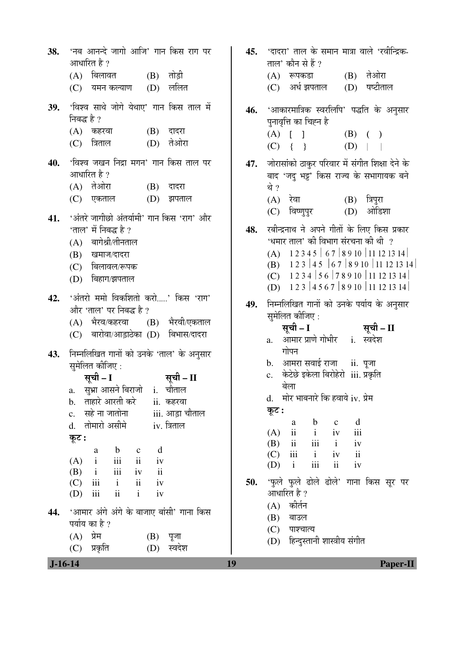| $J-16-14$ |                                                                                                                                                                                                                                                                                          | 19  | <b>Paper-II</b>                                                                                                                                                                                                                                                                                        |
|-----------|------------------------------------------------------------------------------------------------------------------------------------------------------------------------------------------------------------------------------------------------------------------------------------------|-----|--------------------------------------------------------------------------------------------------------------------------------------------------------------------------------------------------------------------------------------------------------------------------------------------------------|
| 44.       | 'आमार अंगे अंगे के बाजाए बांसी' गाना किस<br>पर्याय का है ?<br>प्रेम<br>(A)<br>(B)<br>पूजा<br>स्वदेश<br>प्रकृति<br>(D)<br>(C)                                                                                                                                                             |     | (A) कीर्तन<br>(B)<br>बाउल<br>(C)<br>पाश्चात्य<br>(D) हिन्दुस्तानी शास्त्रीय संगीत                                                                                                                                                                                                                      |
|           | d. तोमारो असीमे<br>iv. त्रिताल<br>कूट :<br>d<br>$\mathbf b$<br>a<br>$\mathbf{c}$<br>$\overline{\text{iii}}$<br>ii<br>$\mathbf{i}$<br>(A)<br>iv<br>iii<br>ii<br>$\mathbf{i}$<br>(B)<br>iv<br>ii<br>$\rm iii$<br>(C)<br>$\mathbf{i}$<br>iv<br>$\rm ii$<br>$\mathbf{i}$<br>iii<br>iv<br>(D) | 50. | $\mathbf b$<br>d<br>$\mathbf{c}$<br>a<br>ii<br>$\mathbf{i}$<br>iii<br>iv<br>(A)<br>iii<br>ii<br>(B)<br>$\mathbf{i}$<br>iv<br>iii<br>$\overline{\mathbf{ii}}$<br>$\mathbf{i}$<br>iv<br>(C)<br>iii<br>$\mathbf{ii}$<br>$\mathbf{i}$<br>iv<br>(D)<br>'फुले फुले ढोले ढोले' गाना किस सूर पर<br>आधारित है ? |
| 43.       | निम्नलिखित गानों को उनके 'ताल' के अनुसार<br>सुमेलित कीजिए :<br>सूची – I<br>सूची – II<br>a. सुभ्रा आसने बिराजो i. चौताल<br>b. ताहारे आरती करे<br>ii. कहरवा<br>सहे ना जातोना<br>iii. आड़ा चौताल<br>$\mathbf{c}$ .                                                                          |     | गोपन<br>b. आमरा सवाई राजा ii. पूजा<br>केटेछे इकेला बिरोहेरो iii. प्रकृति<br>c.<br>बेला<br>d. मोर भाबनारे कि हवाये iv. प्रेम<br>कूट :                                                                                                                                                                   |
| 42.       | 'अंतरो ममो विकशितो करो' किस 'राग'<br>और 'ताल' पर निबद्ध है ?<br>(A) भैरव/कहरवा (B) भैरवी/एकताल<br>(C) बारोवा/आड़ाठेका (D) बिभास/दादरा                                                                                                                                                    | 49. | (D) $123   4567   8910   11121314  $<br>निम्नलिखित गानों को उनके पर्याय के अनुसार<br>सुमेलित कीजिए :<br>सूची – I<br>सूची – II<br>आमार प्राणे गोभीर i. स्वदेश<br>a.                                                                                                                                     |
| 41.       | 'अंतरे जागीछो अंतर्यामी' गान किस 'राग' और<br>'ताल' में निबद्ध है ?<br>(A) बागेश्री/तीनताल<br>(B) खमाज/दादरा<br>$(C)$ बिलावल/रूपक<br>बिहाग/झपताल<br>(D)                                                                                                                                   | 48. | रबीन्द्रनाथ ने अपने गीतों के लिए किस प्रकार<br>'धमार ताल' की विभाग संरचना की थी ?<br>(A) $12345   67   8910   11121314  $<br>(B) $1\ 2\ 3\ 4\ 5\ 6\ 7\ 8\ 9\ 10\ 11\ 12\ 13\ 14$<br>(C) $1234   56   78910   11121314  $                                                                               |
| 40.       | 'विश्व जखन निद्रा मगन' गान किस ताल पर<br>आधारित है ?<br>(A) तेओरा<br>(B)<br>दादरा<br>(D)<br>(C) एकताल<br>झपताल                                                                                                                                                                           | 47. | जोरासांको ठाकुर परिवार में संगीत शिक्षा देने के<br>बाद 'जदु भट्ट' किस राज्य के सभागायक बने<br>थे ?<br>$(B)$ त्रिपुरा<br>(A) रेवा<br>$(D)$ ओडिशा<br>विष्णुपुर<br>(C)                                                                                                                                    |
| 39.       | 'विश्व साथे जोगे येथाए' गान किस ताल में<br>निबद्ध है ?<br>$(A)$ कहरवा<br>$(B)$ दादरा<br>(C) त्रिताल<br>(D) तेओरा                                                                                                                                                                         | 46. | 'आकारमात्रिक स्वरलिपि' पद्धति के अनुसार<br>पुनावृत्ति का चिह्न है<br>$(A)$ [ ]<br>$(B)$ ( )<br>$(C) { } { }$<br>$(D)$                                                                                                                                                                                  |
| 38.       | 'नब आनन्दे जागो आजि' गान किस राग पर<br>आधारित है ?<br>(A) बिलावत (B) तोड़ी<br>ललित<br>$(C)$ यमन कल्याण $(D)$                                                                                                                                                                             | 45. | 'दादरा' ताल के समान मात्रा वाले 'रवीन्द्रिक-<br>ताल' कौन से हैं ?<br>(A) रूपकडा (B) तेओरा<br>षष्टीताल<br>अर्ध झपताल (D)<br>(C)                                                                                                                                                                         |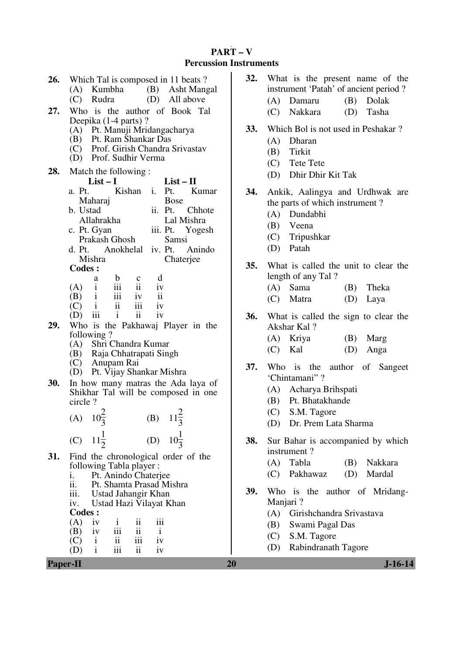## **PART – V Percussion Instruments**

|     | 20<br>$J-16-14$<br><b>Paper-II</b>                            |     |                                        |  |  |  |
|-----|---------------------------------------------------------------|-----|----------------------------------------|--|--|--|
|     | iii<br>$\overline{\mathbf{ii}}$<br>(D)<br>$\mathbf{i}$<br>iv  |     |                                        |  |  |  |
|     | $\overline{\mathbf{u}}$<br>iii<br>(C)<br>$\mathbf{i}$<br>iv   |     | Rabindranath Tagore<br>(D)             |  |  |  |
|     | iii<br>$\mathbf{ii}$<br>(B)<br>iv<br>$\mathbf{i}$             |     | S.M. Tagore<br>(C)                     |  |  |  |
|     | iv                                                            |     | (B)<br>Swami Pagal Das                 |  |  |  |
|     | $\ddot{\rm n}$<br>iii<br>(A)<br>$\mathbf{i}$                  |     | Girishchandra Srivastava<br>(A)        |  |  |  |
|     | Ustad Hazi Vilayat Khan<br><b>Codes:</b>                      |     |                                        |  |  |  |
|     | iv.                                                           |     | Manjari?                               |  |  |  |
|     | iii.<br>Ustad Jahangir Khan                                   | 39. | Who is the author of Mridang-          |  |  |  |
|     | Pt. Anindo Chaterjee<br>i.<br>ii.<br>Pt. Shamta Prasad Mishra |     |                                        |  |  |  |
|     | following Tabla player:                                       |     | Pakhawaz<br>(D)<br>Mardal<br>(C)       |  |  |  |
| 31. | Find the chronological order of the                           |     | Tabla<br>(A)<br>Nakkara<br>(B)         |  |  |  |
|     |                                                               |     | instrument?                            |  |  |  |
|     | $11\frac{1}{2}$<br>(D)<br>$10\frac{1}{3}$<br>(C)              | 38. | Sur Bahar is accompanied by which      |  |  |  |
|     |                                                               |     |                                        |  |  |  |
|     | $11\frac{2}{2}$<br>$10\frac{2}{2}$<br>(B)<br>(A)              |     | (D) Dr. Prem Lata Sharma               |  |  |  |
|     |                                                               |     | S.M. Tagore<br>(C)                     |  |  |  |
|     | circle?                                                       |     | Pt. Bhatakhande<br>(B)                 |  |  |  |
|     | Shikhar Tal will be composed in one                           |     | Acharya Brihspati<br>(A)               |  |  |  |
| 30. | In how many matras the Ada laya of                            |     | 'Chintamani"?                          |  |  |  |
|     | Pt. Vijay Shankar Mishra<br>(D)                               | 37. | Who is the<br>author of<br>Sangeet     |  |  |  |
|     | (C)<br>Anupam Rai                                             |     |                                        |  |  |  |
|     | (A)<br>Raja Chhatrapati Singh<br>(B)                          |     | Kal<br>(D)<br>(C)<br>Anga              |  |  |  |
|     | following?<br>Shri Chandra Kumar                              |     | Kriya<br>(B)<br>Marg<br>(A)            |  |  |  |
| 29. | Who is the Pakhawaj Player in the                             |     | Akshar Kal?                            |  |  |  |
|     | $\mathbf{ii}$<br>iii<br>$\mathbf{i}$<br>iv<br>(D)             | 36. | What is called the sign to clear the   |  |  |  |
|     | ii<br>iii<br>$\mathbf{i}$<br>(C)<br>iv                        |     |                                        |  |  |  |
|     | iii<br>$\mathbf{ii}$<br>(B)<br>$\mathbf{i}$<br>iv             |     | Matra<br>(D)<br>(C)<br>Laya            |  |  |  |
|     | iii<br>ii<br>$\mathbf{i}$<br>(A)<br>iv                        |     | (A)<br>Sama<br>Theka<br>(B)            |  |  |  |
|     | d<br>b<br>$\mathbf c$<br>a                                    |     | length of any Tal?                     |  |  |  |
|     | <b>Codes:</b>                                                 | 35. | What is called the unit to clear the   |  |  |  |
|     | Mishra<br>Chaterjee                                           |     |                                        |  |  |  |
|     | Anokhelal<br>iv. Pt.<br>d. Pt.<br>Anindo                      |     | Patah<br>(D)                           |  |  |  |
|     | Prakash Ghosh<br>Samsi                                        |     | Tripushkar<br>(C)                      |  |  |  |
|     | c. Pt. Gyan<br>iii. Pt. Yogesh                                |     | (B)<br>Veena                           |  |  |  |
|     | Allahrakha<br>Lal Mishra                                      |     | (A) Dundabhi                           |  |  |  |
|     | b. Ustad<br>ii. Pt.<br>Chhote                                 |     | the parts of which instrument?         |  |  |  |
|     | <b>Bose</b><br>Maharaj                                        | 34. | Ankik, Aalingya and Urdhwak are        |  |  |  |
|     | $List - II$<br>i.<br>Kishan<br>Pt.<br>a. Pt.<br>Kumar         |     |                                        |  |  |  |
| 28. | Match the following:<br>$List-I$                              |     | Dhir Dhir Kit Tak<br>(D)               |  |  |  |
|     |                                                               |     | <b>Tete Tete</b><br>(C)                |  |  |  |
|     | Prof. Sudhir Verma<br>(D)                                     |     | Tirkit<br>(B)                          |  |  |  |
|     | Prof. Girish Chandra Srivastav<br>(C)                         |     |                                        |  |  |  |
|     | Pt. Ram Shankar Das<br>(B)                                    |     | Dharan<br>(A)                          |  |  |  |
|     | Deepika (1-4 parts)?<br>(A) Pt. Manuji Mridangacharya         | 33. | Which Bol is not used in Peshakar?     |  |  |  |
| 27. | Who is the author of Book Tal                                 |     | Nakkara<br>Tasha<br>(C)<br>(D)         |  |  |  |
|     | (D)<br>(C)<br>Rudra                                           |     | Dolak<br>(A)<br>Damaru<br>(B)          |  |  |  |
|     | (A) Kumbha<br>(B) Asht Mangal<br>All above                    |     | instrument 'Patah' of ancient period ? |  |  |  |
| 26. | Which Tal is composed in 11 beats?                            | 32. | What is the present name of the        |  |  |  |
|     |                                                               |     |                                        |  |  |  |

- **32.** What is the present name of the instrument 'Patah' of ancient period ?
	- (A) Damaru (B) Dolak
	- (C) Nakkara (D) Tasha
- **33.** Which Bol is not used in Peshakar ?
	- (A) Dharan
	- (B) Tirkit
	- (C) Tete Tete
	- (D) Dhir Dhir Kit Tak
- **34.** Ankik, Aalingya and Urdhwak are the parts of which instrument ?
	- (A) Dundabhi
	- (B) Veena
	- (C) Tripushkar
	- (D) Patah
- **35.** What is called the unit to clear the length of any Tal ?
	- (A) Sama (B) Theka
	- (C) Matra (D) Laya

- (A) Kriya (B) Marg (C) Kal (D) Anga
- **37.** Who is the author of Sangeet 'Chintamani" ?
	- (A) Acharya Brihspati
	- (B) Pt. Bhatakhande
	- (C) S.M. Tagore
	- (D) Dr. Prem Lata Sharma
- **38.** Sur Bahar is accompanied by which instrument ?
	- (A) Tabla (B) Nakkara
	- (C) Pakhawaz (D) Mardal
- **39.** Who is the author of Mridang-Manjari ?
	- (A) Girishchandra Srivastava
	- (B) Swami Pagal Das
	- (C) S.M. Tagore
	- (D) Rabindranath Tagore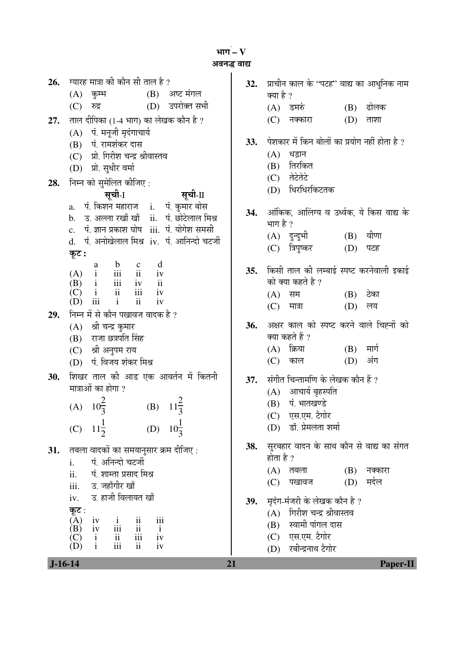³ÖÖÝÖ **– V** 

```
अवनद्ध वाद्य
```

| 26.        | ग्यारह मात्रा की कौन सी ताल है ?                                                                                                                                                                                 |  |  |  |  |
|------------|------------------------------------------------------------------------------------------------------------------------------------------------------------------------------------------------------------------|--|--|--|--|
|            | (B) अष्ट मंगल<br>$(A)$ कुम्भ                                                                                                                                                                                     |  |  |  |  |
|            | (D) उपरोक्त सभी<br>(C) रुद्र                                                                                                                                                                                     |  |  |  |  |
| 27.        | ताल दीपिका (1-4 भाग) का लेखक कौन है ?                                                                                                                                                                            |  |  |  |  |
|            | (A) पं. मनूजी मृदंगाचार्य                                                                                                                                                                                        |  |  |  |  |
|            | (B) पं. रामशंकर दास                                                                                                                                                                                              |  |  |  |  |
|            | (C) प्रो. गिरीश चन्द्र श्रीवास्तव                                                                                                                                                                                |  |  |  |  |
|            | (D) प्रो. सुधीर वर्मा                                                                                                                                                                                            |  |  |  |  |
| 28.        | निम्न को सुमेलित कीजिए:                                                                                                                                                                                          |  |  |  |  |
|            | सूची-I<br>सूची-II                                                                                                                                                                                                |  |  |  |  |
|            | a. पं. किशन महाराज   i.   पं. कुमार बोस                                                                                                                                                                          |  |  |  |  |
|            | b. उ. अल्ला रखाँ खाँ ii. पं. छोटेलाल मिश्र                                                                                                                                                                       |  |  |  |  |
|            | c. पं. ज्ञान प्रकाश घोष iii. पं. योगेश समसी<br>d. पं. अनोखेलाल मिश्र <b>ा</b> v. पं. आनिन्दो चटर्जी                                                                                                              |  |  |  |  |
|            |                                                                                                                                                                                                                  |  |  |  |  |
|            | कूट :<br>d                                                                                                                                                                                                       |  |  |  |  |
|            | (A) $\begin{array}{ccc} & a & b & c \\ i & ii & ii \\ (B) & i & iii & iv \\ (C) & i & ii & iii \end{array}$<br>iv                                                                                                |  |  |  |  |
|            | $\mathbf{ii}$                                                                                                                                                                                                    |  |  |  |  |
|            | iv<br>$(D)$ iii<br>ii<br>$\mathbf{i}$<br>iv                                                                                                                                                                      |  |  |  |  |
| 29.        | निम्न में से कौन पखावज वादक है ?                                                                                                                                                                                 |  |  |  |  |
|            | (A) श्री चन्द्र कुमार                                                                                                                                                                                            |  |  |  |  |
|            | (B) राजा छत्रपति सिंह                                                                                                                                                                                            |  |  |  |  |
|            | (C) श्री अनुपम राय                                                                                                                                                                                               |  |  |  |  |
|            | (D) पं. विजय शंकर मिश्र                                                                                                                                                                                          |  |  |  |  |
| <b>30.</b> | शिखर ताल की आड एक आवर्तन में कितनी                                                                                                                                                                               |  |  |  |  |
|            | मात्राओं का होगा ?                                                                                                                                                                                               |  |  |  |  |
|            | (A) $10^{\frac{2}{3}}$<br>(B) $11\frac{2}{3}$                                                                                                                                                                    |  |  |  |  |
|            |                                                                                                                                                                                                                  |  |  |  |  |
|            | $11\frac{1}{2}$<br>$10\frac{1}{3}$<br>(D)<br>(C)                                                                                                                                                                 |  |  |  |  |
| 31.        | तबला वादकों का समयानुसार क्रम दीजिए:                                                                                                                                                                             |  |  |  |  |
|            | पं. अनिन्दो चटर्जी<br>i.                                                                                                                                                                                         |  |  |  |  |
|            | ii.<br>पं. शाम्ता प्रसाद मिश्र                                                                                                                                                                                   |  |  |  |  |
|            | iii.     उ. जहाँगीर खाँ                                                                                                                                                                                          |  |  |  |  |
|            | iv.     उ. हाजी विलायत खाँ                                                                                                                                                                                       |  |  |  |  |
|            | कूट :                                                                                                                                                                                                            |  |  |  |  |
|            | (A)<br>$\overline{11}$<br>$\overline{111}$<br>$\mathbf{i}$<br>$\overline{\mathbf{iii}}$<br>$\overline{\text{iii}}$<br>$\mathbf{i}$                                                                               |  |  |  |  |
|            | $\begin{array}{ccc}\n\tilde{A} & \tilde{B} \\ \tilde{B} & \tilde{B} \\ \tilde{C} & \tilde{C} \\ \tilde{D} & \tilde{C} \\ \tilde{D} & \tilde{C}\n\end{array}$<br>$\frac{\text{ii}}{\text{iii}}$<br>iv<br>ii<br>iv |  |  |  |  |
|            |                                                                                                                                                                                                                  |  |  |  |  |

32. प्राचीन काल के "पटह" वाद्य का आधुनिक नाम क्या है ? (A) डमरुं (B) ढोलक  $(C)$  नक्कारा  $(D)$  ताशा 33. पेशकार में किन बोलों का प्रयोग नहीं होता है ?  $(A)$  धड़ान  $(B)$  तिरकित  $(C)$  तेटेतेटे (D) धिरधिरकिटतक 34. आँकिक, आलिंग्य व उर्ध्वक, ये किस वाद्य के भाग है $?$ (A) दुन्दुभी (B) वीणा (C) त्रिपुष्कर (D) पटह 35. किसी ताल की लम्बाई स्पष्ट करनेवाली इकाई को क्या कहते है ?<br>(A) सम  $(B)$  ठेका  $(C)$  मात्रा  $(D)$  लय 36. अक्षर काल को स्पष्ट करने वाले चिह्नों को क्या कहते हैं ?  $(A)$  क्रिया  $(B)$  मार्ग (C) काल (D) अंग **37.** संगीत चिन्तामणि के लेखक कौन हैं ?  $(A)$  आचार्य बृहस्पति (B) पं. भातखण्डे (C) एस.एम. टैगोर (D) डॉ. प्रेमलता शर्मा **38.** सुरबहार वादन के साथ कौन से वाद्य का संगत होता है ? (A) तबला (B) नक्कारा<br>(C) पखावज (D) मर्दल (C) पखावज 39. **म्प्रदंग-मंजरी के लेखक कौन है** ?  $(A)$  गिरीश चन्द्र श्रीवास्तव (B) स्वामी पांगल दास (C) एस.एम. टैगोर (D) रबीन्द्रनाथ टैगोर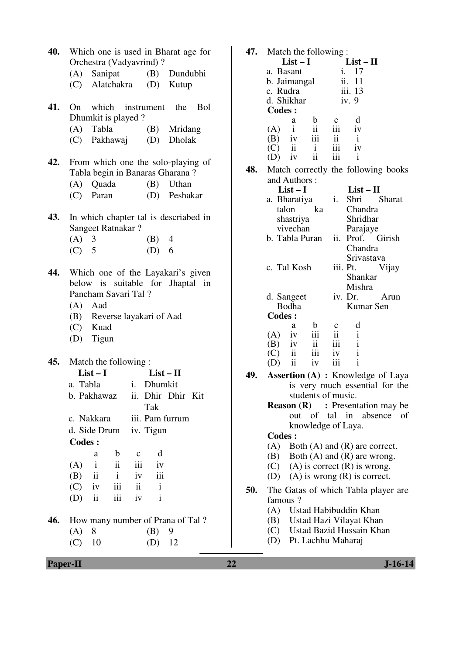| 40. | Which one is used in Bharat age for<br>Orchestra (Vadyavrind)? |                                  |                                                                           |                     |                             |                                               |  |
|-----|----------------------------------------------------------------|----------------------------------|---------------------------------------------------------------------------|---------------------|-----------------------------|-----------------------------------------------|--|
|     |                                                                |                                  |                                                                           |                     |                             | (A) Sanipat (B) Dundubhi                      |  |
|     |                                                                |                                  |                                                                           |                     |                             | (C) Alatchakra (D) Kutup                      |  |
|     |                                                                |                                  |                                                                           |                     |                             |                                               |  |
|     |                                                                |                                  |                                                                           |                     |                             | 41. On which instrument the Bol               |  |
|     |                                                                | Dhumkit is played?               |                                                                           |                     |                             |                                               |  |
|     |                                                                |                                  |                                                                           |                     |                             | (A) Tabla (B) Mridang                         |  |
|     |                                                                |                                  |                                                                           |                     |                             | (C) Pakhawaj (D) Dholak                       |  |
|     |                                                                |                                  |                                                                           |                     |                             |                                               |  |
|     |                                                                |                                  | 42. From which one the solo-playing of<br>Tabla begin in Banaras Gharana? |                     |                             |                                               |  |
|     |                                                                |                                  |                                                                           |                     |                             |                                               |  |
|     |                                                                |                                  |                                                                           |                     |                             | (A) Quada (B) Uthan<br>(C) Paran (D) Peshakar |  |
|     |                                                                |                                  |                                                                           |                     |                             |                                               |  |
| 43. |                                                                |                                  |                                                                           |                     |                             | In which chapter tal is descriabed in         |  |
|     |                                                                | Sangeet Ratnakar?                |                                                                           |                     |                             |                                               |  |
|     | $(A)$ 3                                                        |                                  |                                                                           |                     | $(B)$ 4                     |                                               |  |
|     |                                                                | $(C)$ 5                          |                                                                           |                     | (D) 6                       |                                               |  |
|     |                                                                |                                  |                                                                           |                     |                             |                                               |  |
| 44. |                                                                |                                  |                                                                           |                     |                             | Which one of the Layakari's given             |  |
|     |                                                                | below is suitable for Jhaptal in |                                                                           |                     |                             |                                               |  |
|     |                                                                | Pancham Savari Tal?              |                                                                           |                     |                             |                                               |  |
|     |                                                                | $(A)$ Aad                        |                                                                           |                     |                             |                                               |  |
|     |                                                                |                                  |                                                                           |                     | (B) Reverse layakari of Aad |                                               |  |
|     |                                                                | (C) Kuad                         |                                                                           |                     |                             |                                               |  |
|     |                                                                | (D) Tigun                        |                                                                           |                     |                             |                                               |  |
|     |                                                                |                                  |                                                                           |                     |                             |                                               |  |
|     | <b>45.</b> Match the following:                                |                                  |                                                                           |                     |                             |                                               |  |
|     | $List-I$<br>$List - II$<br>a. Tabla i. Dhumkit                 |                                  |                                                                           |                     |                             |                                               |  |
|     |                                                                |                                  |                                                                           |                     |                             |                                               |  |
|     |                                                                |                                  |                                                                           |                     | Tak                         | b. Pakhawaz ii. Dhir Dhir Kit                 |  |
|     |                                                                | c. Nakkara                       |                                                                           |                     |                             | iii. Pam furrum                               |  |
|     |                                                                |                                  |                                                                           |                     | d. Side Drum iv. Tigun      |                                               |  |
|     | <b>Codes:</b>                                                  |                                  |                                                                           |                     |                             |                                               |  |
|     |                                                                |                                  |                                                                           |                     | d                           |                                               |  |
|     | (A)                                                            | a<br>$\mathbf{i}$                | $\mathbf b$<br>ii                                                         | $\mathbf{C}$<br>iii | iv                          |                                               |  |
|     | $(B)$ ii                                                       |                                  | $\mathbf{i}$                                                              | iv                  | iii                         |                                               |  |
|     | $(C)$ iv                                                       |                                  | iii                                                                       | $\mathbf{ii}$       | $\mathbf{i}$                |                                               |  |
|     | $(D)$ ii                                                       |                                  | iii                                                                       | iv                  | $\mathbf{i}$                |                                               |  |
|     |                                                                |                                  |                                                                           |                     |                             |                                               |  |
| 46. |                                                                |                                  |                                                                           |                     |                             | How many number of Prana of Tal?              |  |
|     | $(A)$ 8                                                        |                                  |                                                                           |                     | (B)                         | 9                                             |  |
|     | $(C)$ 10                                                       |                                  |                                                                           |                     | (D)                         | 12                                            |  |
|     |                                                                |                                  |                                                                           |                     |                             |                                               |  |

| 47. | Match the following:               |                                              |  |
|-----|------------------------------------|----------------------------------------------|--|
|     | $List-I$                           | $List - II$                                  |  |
|     | a. Basant                          | 17<br>i.                                     |  |
|     | b. Jaimangal                       | ii. 11                                       |  |
|     | c. Rudra                           | iii. 13                                      |  |
|     | d. Shikhar                         | iv.9                                         |  |
|     | <b>Codes:</b>                      |                                              |  |
|     |                                    |                                              |  |
|     | $\mathbf{b}$<br>a<br>ii<br>$(A)$ i | d<br>$\mathbf c$<br>iii iv                   |  |
|     | $(B)$ iv                           | $iii$ $ii$                                   |  |
|     |                                    | $\mathbf{i}$                                 |  |
|     | $(C)$ ii<br>$\mathbf{i}$           | $\overline{\mathbf{iii}}$<br>iv              |  |
|     | $\ddot{\rm n}$<br>$(D)$ iv         | $\overline{\mathbf{iii}}$<br>$\mathbf{i}$    |  |
| 48. |                                    | Match correctly the following books          |  |
|     | and Authors:                       |                                              |  |
|     | $List-I$                           | $List - II$                                  |  |
|     | a. Bharatiya                       | i. Shri Sharat                               |  |
|     | talon<br>ka                        | Chandra                                      |  |
|     | shastriya                          | Shridhar                                     |  |
|     | vivechan                           | Parajaye                                     |  |
|     | b. Tabla Puran                     | ii. Prof. Girish                             |  |
|     |                                    |                                              |  |
|     |                                    | Chandra                                      |  |
|     |                                    | Srivastava                                   |  |
|     | c. Tal Kosh                        | iii. Pt.<br>Vijay                            |  |
|     |                                    | Shankar                                      |  |
|     |                                    | Mishra                                       |  |
|     | d. Sangeet                         | iv. Dr. Arun                                 |  |
|     | Bodha                              | Kumar Sen                                    |  |
|     | <b>Codes:</b>                      |                                              |  |
|     | a<br>$\mathbf b$                   | d<br>$\mathbf{c}$                            |  |
|     | iii<br>$(A)$ iv                    | $\mathbf{ii}$<br>$\mathbf{i}$                |  |
|     | $(B)$ iv                           | $ii$ $iii$<br>$\mathbf{i}$                   |  |
|     | $(C)$ ii                           | iii iv<br>$\mathbf{i}$                       |  |
|     | $(D)$ ii<br>iv                     | $\mathbf{i}$<br>$\overline{\phantom{a}}$ iii |  |
| 49. |                                    | <b>Assertion (A) : Knowledge of Laya</b>     |  |
|     |                                    |                                              |  |
|     |                                    | is very much essential for the               |  |
|     |                                    | students of music.                           |  |
|     |                                    | <b>Reason (R)</b> : Presentation may be      |  |
|     |                                    | out of tal in absence<br>of                  |  |
|     |                                    | knowledge of Laya.                           |  |
|     | <b>Codes:</b>                      |                                              |  |
|     | (A)                                | Both $(A)$ and $(R)$ are correct.            |  |
|     |                                    | $(B)$ Both $(A)$ and $(R)$ are wrong.        |  |
|     |                                    | $(C)$ (A) is correct $(R)$ is wrong.         |  |
|     |                                    | (D) (A) is wrong $(R)$ is correct.           |  |
|     |                                    |                                              |  |
| 50. |                                    | The Gatas of which Tabla player are          |  |
|     | famous?                            |                                              |  |
|     | (A) Ustad Habibuddin Khan          |                                              |  |
|     |                                    | (B) Ustad Hazi Vilayat Khan                  |  |
|     |                                    | (C) Ustad Bazid Hussain Khan                 |  |
|     | (D) Pt. Lachhu Maharaj             |                                              |  |
|     |                                    |                                              |  |
|     |                                    |                                              |  |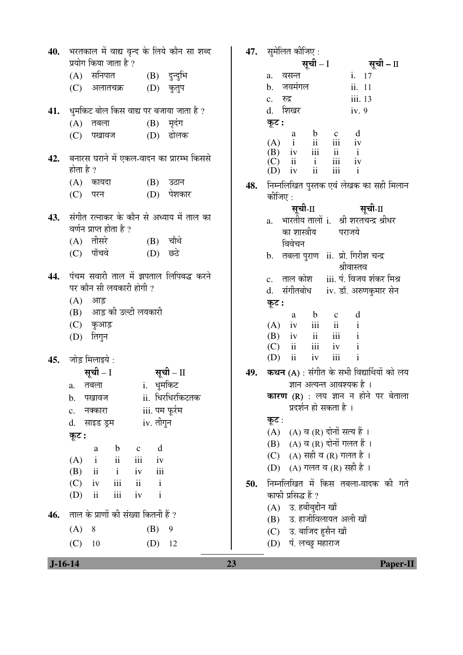| 40.       | भरतकाल में वाद्य वृन्द के लिये कौन सा शब्द                                                |     | 47. सुमेलित कीजिए :                                                 |
|-----------|-------------------------------------------------------------------------------------------|-----|---------------------------------------------------------------------|
|           | प्रयोग किया जाता है ?                                                                     |     | सूची – II<br>सूची – I                                               |
|           | (A) सनिपात (B) दुन्दुभि                                                                   |     | i. 17<br>वसन्त<br>a.                                                |
|           | (D) कुतुप<br>(C) अलातचक्र                                                                 |     | जयमंगल<br>ii. 11<br>$\mathbf b$ .                                   |
|           |                                                                                           |     | iii. 13<br>c. रुद्र                                                 |
| 41.       | धुमकिट बोल किस वाद्य पर बजाया जाता है ?                                                   |     | d. शिखर<br>iv.9                                                     |
|           | $(B)$ मृदंग<br>$(A)$ तबला                                                                 |     | कूट :<br>d<br>$\mathbf b$<br>a                                      |
|           | (D) ढोलक<br>(C)<br>पखावज                                                                  |     | $\mathbf{c}$<br>ii<br>iii iv<br>$\mathbf{i}$<br>(A)                 |
| 42.       | बनारस घराने में एकल-वादन का प्रारम्भ किससे                                                |     | iii<br>$ii$ $i$<br>(B)<br>iv<br>ii<br>iii iv<br>$\mathbf{i}$<br>(C) |
|           | होता है ?                                                                                 |     | iii<br>ii<br>$\mathbf{i}$<br>iv<br>(D)                              |
|           | $(A)$ कायदा<br>$(B)$ उठान                                                                 | 48. | निम्नलिखित पुस्तक एवं लेखक का सही मिलान                             |
|           | पेशकार<br>(D)<br>(C) परन                                                                  |     | कीजिए :                                                             |
|           |                                                                                           |     | सूची-II<br>सूची-II                                                  |
| 43.       | संगीत रत्नाकर के कौन से अध्याय में ताल का<br>वर्णन प्राप्त होता है ?                      |     | a. भारतीय तालों i. श्री शरतचन्द्र श्रीधर                            |
|           | $(A)$ तीसरे<br>(B) चौथे                                                                   |     | का शास्त्रीय<br>पराजये                                              |
|           | (C) पाँचवे<br>$(D)$ छठे                                                                   |     | विवेचन                                                              |
|           |                                                                                           |     | b. तबला पुराण ii. प्रो. गिरीश चन्द्र<br>श्रीवास्तव                  |
| 44.       | पंचम सवारी ताल में झपताल लिपिबद्ध करने                                                    |     | iii. पं. विजय शंकर मिश्र<br>c. ताल कोश                              |
|           | पर कौन सी लयकारी होगी ?                                                                   |     | d. संगीतबोध iv. डॉ. अरुणकुमार सेन                                   |
|           | $(A)$ आड़                                                                                 |     | कूट :                                                               |
|           | (B) आड़ की उल्टी लयकारी                                                                   |     | d<br>$\mathbf{b}$<br>$\mathbf{c}$<br>a                              |
|           | (C) कुआड़                                                                                 |     | ii<br>iii<br>$\mathbf{i}$<br>(A)<br>iv                              |
|           | (D) तिगुन                                                                                 |     | $\overline{\text{iii}}$<br>$\mathbf{i}$<br>ii<br>(B)<br>iv          |
|           |                                                                                           |     | iii<br>ii<br>iv<br>(C)<br>$\mathbf{i}$                              |
| 45.       | जोड़ मिलाइये :                                                                            |     | $\mathbf{i}$<br>iii<br>$\overline{\mathbf{u}}$<br>iv<br>(D)         |
|           | सूची – I<br>सूची – II                                                                     | 49. | <b>कथन (A)</b> : संगीत के सभी विद्यार्थियों को लय                   |
|           | i. धुमकिट<br>a. तबला                                                                      |     | ज्ञान अत्यन्त आवश्यक है ।                                           |
|           | ii. धिरधिरकिटतक<br>पखावज<br>b.                                                            |     | <b>कारण (R)</b> : लय ज्ञान न होने पर बेताला                         |
|           | iii. पम फूर्रम<br>नक्कारा<br>$\mathbf{c}$ .                                               |     | प्रदर्शन हो सकता है ।                                               |
|           | iv. तीगुन<br>साइड ड्रम<br>d.                                                              |     | कूट :<br>(A) (A) व (R) दोनों सत्य हैं।                              |
|           | कूट :                                                                                     |     | (B) (A) व (R) दोनों गलत हैं ।                                       |
|           | d<br>$\mathbf b$<br>a<br>$\mathbf{c}$                                                     |     | (C) (A) सही व (R) गलत है।                                           |
|           | $\rm ii$<br>iii<br>(A)<br>$\mathbf{i}$<br>iv                                              |     | (D) (A) गलत व (R) सही है ।                                          |
|           | iii<br>$\overline{\textbf{ii}}$<br>(B)<br>$\mathbf{i}$<br>iv<br>iii<br>$\mathbf{i}$<br>ii |     |                                                                     |
|           | (C)<br>iv<br>$\overline{\textbf{ii}}$<br>iii<br>$\mathbf{i}$<br>(D)<br>iv                 | 50. | निम्नलिखित में किस तबला-वादक की गते<br>काफी प्रसिद्ध हैं ?          |
|           |                                                                                           |     | उ. हबीबुद्दीन खाँ<br>(A)                                            |
| 46.       | ताल के प्राणों की संख्या कितनी हैं ?                                                      |     | उ. हाजीविलायत अली खाँ<br>(B)                                        |
|           | (A)<br>8<br>(B)<br>9                                                                      |     | (C) उ. बाजिद हुसैन खाँ                                              |
|           | (C)<br>(D)<br>12<br>10                                                                    |     | पं. लच्छु महाराज<br>(D)                                             |
|           |                                                                                           |     |                                                                     |
| $J-16-14$ |                                                                                           | 23  | <b>Paper-II</b>                                                     |